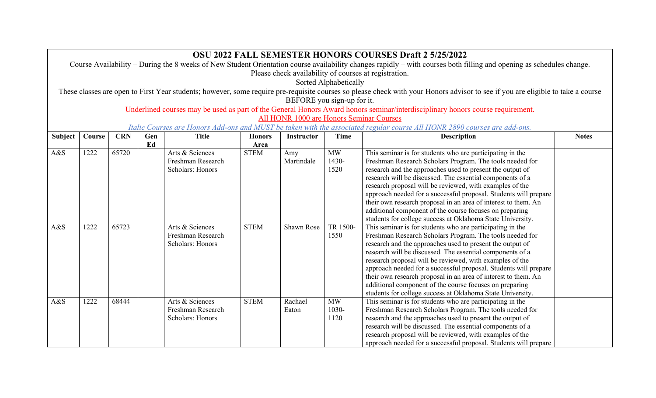|                | <b>OSU 2022 FALL SEMESTER HONORS COURSES Draft 2 5/25/2022</b>                                                                                                                  |       |    |                   |             |            |           |                                                                  |  |  |  |  |  |  |
|----------------|---------------------------------------------------------------------------------------------------------------------------------------------------------------------------------|-------|----|-------------------|-------------|------------|-----------|------------------------------------------------------------------|--|--|--|--|--|--|
|                | Course Availability - During the 8 weeks of New Student Orientation course availability changes rapidly - with courses both filling and opening as schedules change.            |       |    |                   |             |            |           |                                                                  |  |  |  |  |  |  |
|                | Please check availability of courses at registration.                                                                                                                           |       |    |                   |             |            |           |                                                                  |  |  |  |  |  |  |
|                | Sorted Alphabetically                                                                                                                                                           |       |    |                   |             |            |           |                                                                  |  |  |  |  |  |  |
|                | These classes are open to First Year students; however, some require pre-requisite courses so please check with your Honors advisor to see if you are eligible to take a course |       |    |                   |             |            |           |                                                                  |  |  |  |  |  |  |
|                | BEFORE you sign-up for it.                                                                                                                                                      |       |    |                   |             |            |           |                                                                  |  |  |  |  |  |  |
|                | Underlined courses may be used as part of the General Honors Award honors seminar/interdisciplinary honors course requirement.                                                  |       |    |                   |             |            |           |                                                                  |  |  |  |  |  |  |
|                | All HONR 1000 are Honors Seminar Courses                                                                                                                                        |       |    |                   |             |            |           |                                                                  |  |  |  |  |  |  |
|                | Italic Courses are Honors Add-ons and MUST be taken with the associated regular course All HONR 2890 courses are add-ons.                                                       |       |    |                   |             |            |           |                                                                  |  |  |  |  |  |  |
| <b>Subject</b> | <b>CRN</b><br>Gen<br><b>Description</b><br><b>Notes</b><br>Course<br><b>Title</b><br><b>Honors</b><br><b>Time</b><br><b>Instructor</b>                                          |       |    |                   |             |            |           |                                                                  |  |  |  |  |  |  |
|                |                                                                                                                                                                                 |       | Ed |                   | Area        |            |           |                                                                  |  |  |  |  |  |  |
| A&S            | 1222                                                                                                                                                                            | 65720 |    | Arts & Sciences   | <b>STEM</b> | Amy        | <b>MW</b> | This seminar is for students who are participating in the        |  |  |  |  |  |  |
|                |                                                                                                                                                                                 |       |    | Freshman Research |             | Martindale | 1430-     | Freshman Research Scholars Program. The tools needed for         |  |  |  |  |  |  |
|                |                                                                                                                                                                                 |       |    | Scholars: Honors  |             |            | 1520      | research and the approaches used to present the output of        |  |  |  |  |  |  |
|                |                                                                                                                                                                                 |       |    |                   |             |            |           | research will be discussed. The essential components of a        |  |  |  |  |  |  |
|                |                                                                                                                                                                                 |       |    |                   |             |            |           | research proposal will be reviewed, with examples of the         |  |  |  |  |  |  |
|                |                                                                                                                                                                                 |       |    |                   |             |            |           | approach needed for a successful proposal. Students will prepare |  |  |  |  |  |  |
|                |                                                                                                                                                                                 |       |    |                   |             |            |           | their own research proposal in an area of interest to them. An   |  |  |  |  |  |  |
|                |                                                                                                                                                                                 |       |    |                   |             |            |           | additional component of the course focuses on preparing          |  |  |  |  |  |  |
|                |                                                                                                                                                                                 |       |    |                   |             |            |           | students for college success at Oklahoma State University.       |  |  |  |  |  |  |
| A&S            | 1222                                                                                                                                                                            | 65723 |    | Arts & Sciences   | <b>STEM</b> | Shawn Rose | TR 1500-  | This seminar is for students who are participating in the        |  |  |  |  |  |  |
|                |                                                                                                                                                                                 |       |    | Freshman Research |             |            | 1550      | Freshman Research Scholars Program. The tools needed for         |  |  |  |  |  |  |
|                |                                                                                                                                                                                 |       |    | Scholars: Honors  |             |            |           | research and the approaches used to present the output of        |  |  |  |  |  |  |
|                |                                                                                                                                                                                 |       |    |                   |             |            |           | research will be discussed. The essential components of a        |  |  |  |  |  |  |
|                |                                                                                                                                                                                 |       |    |                   |             |            |           | research proposal will be reviewed, with examples of the         |  |  |  |  |  |  |
|                |                                                                                                                                                                                 |       |    |                   |             |            |           | approach needed for a successful proposal. Students will prepare |  |  |  |  |  |  |
|                |                                                                                                                                                                                 |       |    |                   |             |            |           | their own research proposal in an area of interest to them. An   |  |  |  |  |  |  |
|                |                                                                                                                                                                                 |       |    |                   |             |            |           | additional component of the course focuses on preparing          |  |  |  |  |  |  |
|                |                                                                                                                                                                                 |       |    |                   |             |            |           | students for college success at Oklahoma State University.       |  |  |  |  |  |  |
| A&S            | 1222                                                                                                                                                                            | 68444 |    | Arts & Sciences   | <b>STEM</b> | Rachael    | <b>MW</b> | This seminar is for students who are participating in the        |  |  |  |  |  |  |
|                |                                                                                                                                                                                 |       |    | Freshman Research |             | Eaton      | 1030-     | Freshman Research Scholars Program. The tools needed for         |  |  |  |  |  |  |
|                |                                                                                                                                                                                 |       |    | Scholars: Honors  |             |            | 1120      | research and the approaches used to present the output of        |  |  |  |  |  |  |
|                |                                                                                                                                                                                 |       |    |                   |             |            |           | research will be discussed. The essential components of a        |  |  |  |  |  |  |
|                |                                                                                                                                                                                 |       |    |                   |             |            |           | research proposal will be reviewed, with examples of the         |  |  |  |  |  |  |
|                |                                                                                                                                                                                 |       |    |                   |             |            |           | approach needed for a successful proposal. Students will prepare |  |  |  |  |  |  |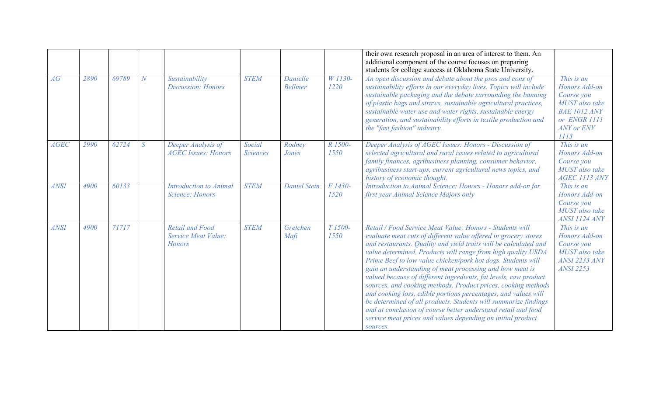|             |      |       |                |                                                                |                           |                            |                 | their own research proposal in an area of interest to them. An<br>additional component of the course focuses on preparing<br>students for college success at Oklahoma State University.                                                                                                                                                                                                                                                                                                                                                                                                                                                                                                                                                                                                                           |                                                                                                                                 |
|-------------|------|-------|----------------|----------------------------------------------------------------|---------------------------|----------------------------|-----------------|-------------------------------------------------------------------------------------------------------------------------------------------------------------------------------------------------------------------------------------------------------------------------------------------------------------------------------------------------------------------------------------------------------------------------------------------------------------------------------------------------------------------------------------------------------------------------------------------------------------------------------------------------------------------------------------------------------------------------------------------------------------------------------------------------------------------|---------------------------------------------------------------------------------------------------------------------------------|
| AG          | 2890 | 69789 | $\overline{N}$ | Sustainability<br><b>Discussion: Honors</b>                    | <b>STEM</b>               | Danielle<br><b>Bellmer</b> | W 1130-<br>1220 | An open discussion and debate about the pros and cons of<br>sustainability efforts in our everyday lives. Topics will include<br>sustainable packaging and the debate surrounding the banning<br>of plastic bags and straws, sustainable agricultural practices,<br>sustainable water use and water rights, sustainable energy<br>generation, and sustainability efforts in textile production and<br>the "fast fashion" industry.                                                                                                                                                                                                                                                                                                                                                                                | This is an<br>Honors Add-on<br>Course you<br>MUST also take<br><b>BAE 1012 ANY</b><br>or ENGR 1111<br><b>ANY</b> or ENV<br>1113 |
| <b>AGEC</b> | 2990 | 62724 | S              | Deeper Analysis of<br><b>AGEC Issues: Honors</b>               | Social<br><b>Sciences</b> | Rodney<br>Jones            | R 1500-<br>1550 | Deeper Analysis of AGEC Issues: Honors - Discussion of<br>selected agricultural and rural issues related to agricultural<br>family finances, agribusiness planning, consumer behavior,<br>agribusiness start-ups, current agricultural news topics, and<br>history of economic thought.                                                                                                                                                                                                                                                                                                                                                                                                                                                                                                                           | This is an<br>Honors Add-on<br>Course you<br>MUST also take<br>AGEC 1113 ANY                                                    |
| <b>ANSI</b> | 4900 | 60133 |                | <b>Introduction to Animal</b><br>Science: Honors               | <b>STEM</b>               | <b>Daniel Stein</b>        | F 1430-<br>1520 | Introduction to Animal Science: Honors - Honors add-on for<br>first year Animal Science Majors only                                                                                                                                                                                                                                                                                                                                                                                                                                                                                                                                                                                                                                                                                                               | This is an<br>Honors Add-on<br>Course you<br>MUST also take<br>ANSI 1124 ANY                                                    |
| <b>ANSI</b> | 4900 | 71717 |                | <b>Retail and Food</b><br>Service Meat Value:<br><b>Honors</b> | <b>STEM</b>               | Gretchen<br>Mafi           | T 1500-<br>1550 | Retail / Food Service Meat Value: Honors - Students will<br>evaluate meat cuts of different value offered in grocery stores<br>and restaurants. Quality and yield traits will be calculated and<br>value determined. Products will range from high quality USDA<br>Prime Beef to low value chicken/pork hot dogs. Students will<br>gain an understanding of meat processing and how meat is<br>valued because of different ingredients, fat levels, raw product<br>sources, and cooking methods. Product prices, cooking methods<br>and cooking loss, edible portions percentages, and values will<br>be determined of all products. Students will summarize findings<br>and at conclusion of course better understand retail and food<br>service meat prices and values depending on initial product<br>sources. | This is an<br>Honors Add-on<br>Course you<br>MUST also take<br><b>ANSI 2233 ANY</b><br><b>ANSI 2253</b>                         |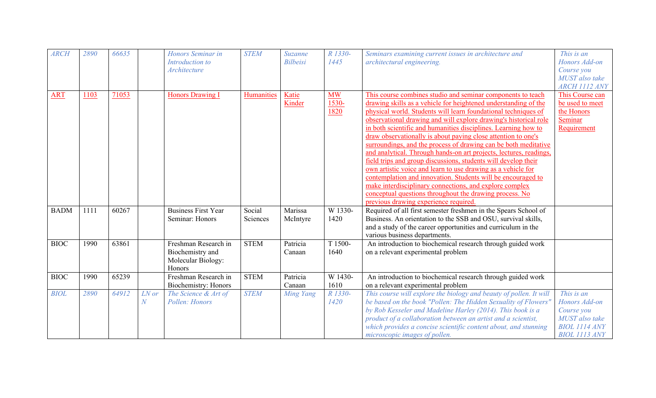| <b>ARCH</b> | 2890 | 66635 |            | Honors Seminar in<br>Introduction to<br>Architecture                     | <b>STEM</b>        | Suzanne<br><b>Bilbeisi</b> | R 1330-<br>1445            | Seminars examining current issues in architecture and<br>architectural engineering.                                                                                                                                                                                                                                                                                                                                                                                                                                                                                                                                                                                                                                                                                                                                                                                                                               | This is an<br>Honors Add-on<br>Course you<br>MUST also take<br>ARCH 1112 ANY                         |
|-------------|------|-------|------------|--------------------------------------------------------------------------|--------------------|----------------------------|----------------------------|-------------------------------------------------------------------------------------------------------------------------------------------------------------------------------------------------------------------------------------------------------------------------------------------------------------------------------------------------------------------------------------------------------------------------------------------------------------------------------------------------------------------------------------------------------------------------------------------------------------------------------------------------------------------------------------------------------------------------------------------------------------------------------------------------------------------------------------------------------------------------------------------------------------------|------------------------------------------------------------------------------------------------------|
| <b>ART</b>  | 1103 | 71053 |            | <b>Honors Drawing I</b>                                                  | Humanities         | Katie<br>Kinder            | <b>MW</b><br>1530-<br>1820 | This course combines studio and seminar components to teach<br>drawing skills as a vehicle for heightened understanding of the<br>physical world. Students will learn foundational techniques of<br>observational drawing and will explore drawing's historical role<br>in both scientific and humanities disciplines. Learning how to<br>draw observationally is about paying close attention to one's<br>surroundings, and the process of drawing can be both meditative<br>and analytical. Through hands-on art projects, lectures, readings,<br>field trips and group discussions, students will develop their<br>own artistic voice and learn to use drawing as a vehicle for<br>contemplation and innovation. Students will be encouraged to<br>make interdisciplinary connections, and explore complex<br>conceptual questions throughout the drawing process. No<br>previous drawing experience required. | This Course can<br>be used to meet<br>the Honors<br>Seminar<br>Requirement                           |
| <b>BADM</b> | 1111 | 60267 |            | <b>Business First Year</b><br>Seminar: Honors                            | Social<br>Sciences | Marissa<br>McIntyre        | W 1330-<br>1420            | Required of all first semester freshmen in the Spears School of<br>Business. An orientation to the SSB and OSU, survival skills,<br>and a study of the career opportunities and curriculum in the<br>various business departments.                                                                                                                                                                                                                                                                                                                                                                                                                                                                                                                                                                                                                                                                                |                                                                                                      |
| <b>BIOC</b> | 1990 | 63861 |            | Freshman Research in<br>Biochemistry and<br>Molecular Biology:<br>Honors | <b>STEM</b>        | Patricia<br>Canaan         | T 1500-<br>1640            | An introduction to biochemical research through guided work<br>on a relevant experimental problem                                                                                                                                                                                                                                                                                                                                                                                                                                                                                                                                                                                                                                                                                                                                                                                                                 |                                                                                                      |
| <b>BIOC</b> | 1990 | 65239 |            | Freshman Research in<br>Biochemistry: Honors                             | <b>STEM</b>        | Patricia<br>Canaan         | W 1430-<br>1610            | An introduction to biochemical research through guided work<br>on a relevant experimental problem                                                                                                                                                                                                                                                                                                                                                                                                                                                                                                                                                                                                                                                                                                                                                                                                                 |                                                                                                      |
| <b>BIOL</b> | 2890 | 64912 | LN or<br>N | The Science & Art of<br>Pollen: Honors                                   | <b>STEM</b>        | <b>Ming Yang</b>           | R 1330-<br>1420            | This course will explore the biology and beauty of pollen. It will<br>be based on the book "Pollen: The Hidden Sexuality of Flowers"<br>by Rob Kesseler and Madeline Harley (2014). This book is a<br>product of a collaboration between an artist and a scientist,<br>which provides a concise scientific content about, and stunning<br>microscopic images of pollen.                                                                                                                                                                                                                                                                                                                                                                                                                                                                                                                                           | This is an<br>Honors Add-on<br>Course you<br>MUST also take<br><b>BIOL 1114 ANY</b><br>BIOL 1113 ANY |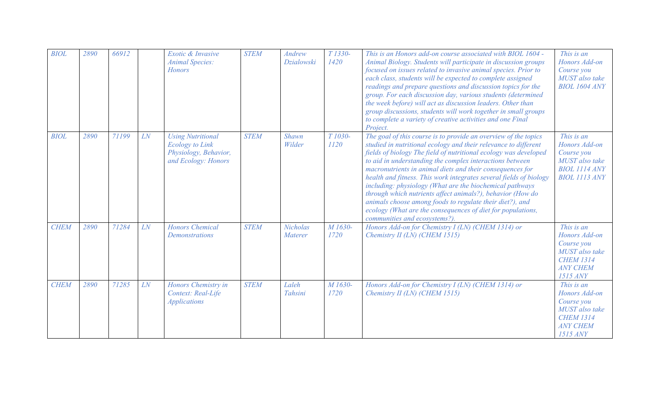| <b>BIOL</b> | 2890 | 66912 |    | Exotic & Invasive<br><b>Animal Species:</b><br><b>Honors</b>                                       | <b>STEM</b> | <b>Andrew</b><br>Dzialowski       | T 1330-<br>1420             | This is an Honors add-on course associated with BIOL 1604 -<br>Animal Biology. Students will participate in discussion groups<br>focused on issues related to invasive animal species. Prior to<br>each class, students will be expected to complete assigned<br>readings and prepare questions and discussion topics for the<br>group. For each discussion day, various students (determined<br>the week before) will act as discussion leaders. Other than<br>group discussions, students will work together in small groups<br>to complete a variety of creative activities and one Final<br>Project.                                                                                    | This is an<br>Honors Add-on<br>Course you<br>MUST also take<br><b>BIOL 1604 ANY</b>                                          |
|-------------|------|-------|----|----------------------------------------------------------------------------------------------------|-------------|-----------------------------------|-----------------------------|---------------------------------------------------------------------------------------------------------------------------------------------------------------------------------------------------------------------------------------------------------------------------------------------------------------------------------------------------------------------------------------------------------------------------------------------------------------------------------------------------------------------------------------------------------------------------------------------------------------------------------------------------------------------------------------------|------------------------------------------------------------------------------------------------------------------------------|
| <b>BIOL</b> | 2890 | 71199 | LN | <b>Using Nutritional</b><br><b>Ecology</b> to Link<br>Physiology, Behavior,<br>and Ecology: Honors | <b>STEM</b> | Shawn<br>Wilder                   | T <sub>1030</sub> -<br>1120 | The goal of this course is to provide an overview of the topics<br>studied in nutritional ecology and their relevance to different<br>fields of biology The field of nutritional ecology was developed<br>to aid in understanding the complex interactions between<br>macronutrients in animal diets and their consequences for<br>health and fitness. This work integrates several fields of biology<br>including: physiology (What are the biochemical pathways<br>through which nutrients affect animals?), behavior (How do<br>animals choose among foods to regulate their diet?), and<br>ecology (What are the consequences of diet for populations,<br>communities and ecosystems?). | This is an<br>Honors Add-on<br>Course you<br><b>MUST</b> also take<br><b>BIOL 1114 ANY</b><br><b>BIOL 1113 ANY</b>           |
| <b>CHEM</b> | 2890 | 71284 | LN | <b>Honors Chemical</b><br><b>Demonstrations</b>                                                    | <b>STEM</b> | <b>Nicholas</b><br><b>Materer</b> | M <sub>1630</sub> -<br>1720 | Honors Add-on for Chemistry I (LN) (CHEM 1314) or<br>Chemistry II (LN) (CHEM 1515)                                                                                                                                                                                                                                                                                                                                                                                                                                                                                                                                                                                                          | This is an<br>Honors Add-on<br>Course you<br>MUST also take<br><b>CHEM 1314</b><br><b>ANY CHEM</b><br><b>1515 ANY</b>        |
| <b>CHEM</b> | 2890 | 71285 | LN | Honors Chemistry in<br>Context: Real-Life<br><b>Applications</b>                                   | <b>STEM</b> | Laleh<br>Tahsini                  | M 1630-<br>1720             | Honors Add-on for Chemistry I (LN) (CHEM 1314) or<br>Chemistry II (LN) (CHEM 1515)                                                                                                                                                                                                                                                                                                                                                                                                                                                                                                                                                                                                          | This is an<br>Honors Add-on<br>Course you<br><b>MUST</b> also take<br><b>CHEM 1314</b><br><b>ANY CHEM</b><br><b>1515 ANY</b> |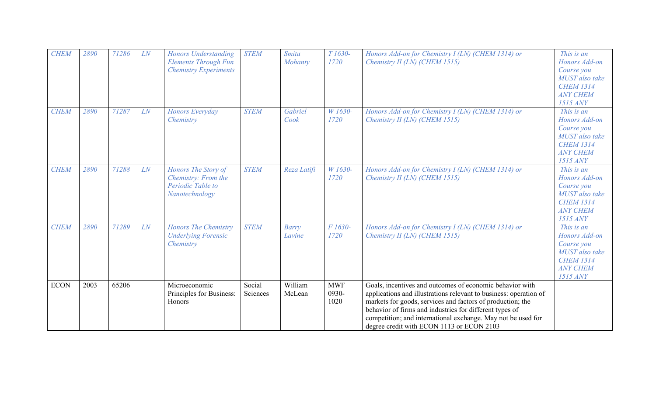| <b>CHEM</b> | 2890 | 71286 | LN | <b>Honors Understanding</b><br><b>Elements Through Fun</b><br><b>Chemistry Experiments</b> | <b>STEM</b>        | <b>Smita</b><br>Mohanty | T 1630-<br>1720             | Honors Add-on for Chemistry I (LN) (CHEM 1314) or<br>Chemistry II (LN) (CHEM 1515)                                                                                                                                                                                                                                                                                  | This is an<br>Honors Add-on<br>Course you<br>MUST also take<br><b>CHEM 1314</b><br><b>ANY CHEM</b><br><b>1515 ANY</b>        |
|-------------|------|-------|----|--------------------------------------------------------------------------------------------|--------------------|-------------------------|-----------------------------|---------------------------------------------------------------------------------------------------------------------------------------------------------------------------------------------------------------------------------------------------------------------------------------------------------------------------------------------------------------------|------------------------------------------------------------------------------------------------------------------------------|
| <b>CHEM</b> | 2890 | 71287 | LN | Honors Everyday<br>Chemistry                                                               | <b>STEM</b>        | Gabriel<br>Cook         | W 1630-<br>1720             | Honors Add-on for Chemistry I (LN) (CHEM 1314) or<br>Chemistry II (LN) (CHEM 1515)                                                                                                                                                                                                                                                                                  | This is an<br>Honors Add-on<br>Course you<br><b>MUST</b> also take<br><b>CHEM 1314</b><br><b>ANY CHEM</b><br><b>1515 ANY</b> |
| <b>CHEM</b> | 2890 | 71288 | LN | Honors The Story of<br>Chemistry: From the<br>Periodic Table to<br>Nanotechnology          | <b>STEM</b>        | Reza Latifi             | W 1630-<br>1720             | Honors Add-on for Chemistry I (LN) (CHEM 1314) or<br>Chemistry II (LN) (CHEM 1515)                                                                                                                                                                                                                                                                                  | This is an<br>Honors Add-on<br>Course you<br>MUST also take<br><b>CHEM 1314</b><br><b>ANY CHEM</b><br><b>1515 ANY</b>        |
| <b>CHEM</b> | 2890 | 71289 | LN | <b>Honors The Chemistry</b><br><b>Underlying Forensic</b><br>Chemistry                     | <b>STEM</b>        | Barry<br>Lavine         | F 1630-<br>1720             | Honors Add-on for Chemistry I (LN) (CHEM 1314) or<br>Chemistry II (LN) (CHEM 1515)                                                                                                                                                                                                                                                                                  | This is an<br>Honors Add-on<br>Course you<br>MUST also take<br><b>CHEM 1314</b><br><b>ANY CHEM</b><br><b>1515 ANY</b>        |
| <b>ECON</b> | 2003 | 65206 |    | Microeconomic<br>Principles for Business:<br>Honors                                        | Social<br>Sciences | William<br>McLean       | <b>MWF</b><br>0930-<br>1020 | Goals, incentives and outcomes of economic behavior with<br>applications and illustrations relevant to business: operation of<br>markets for goods, services and factors of production; the<br>behavior of firms and industries for different types of<br>competition; and international exchange. May not be used for<br>degree credit with ECON 1113 or ECON 2103 |                                                                                                                              |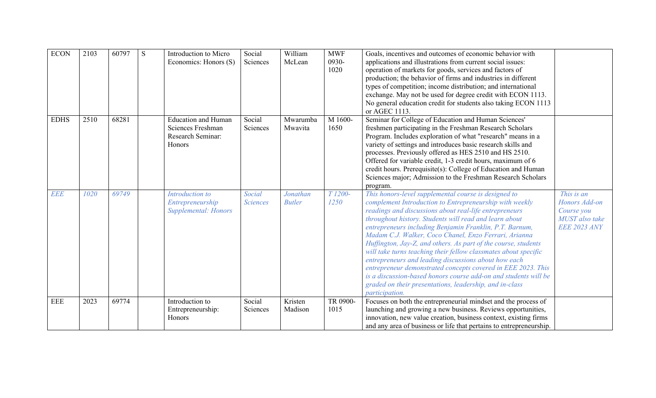| <b>ECON</b> | 2103 | 60797 | S | Introduction to Micro<br>Economics: Honors (S)                                 | Social<br>Sciences        | William<br>McLean         | <b>MWF</b><br>0930-<br>1020 | Goals, incentives and outcomes of economic behavior with<br>applications and illustrations from current social issues:<br>operation of markets for goods, services and factors of<br>production; the behavior of firms and industries in different<br>types of competition; income distribution; and international<br>exchange. May not be used for degree credit with ECON 1113.<br>No general education credit for students also taking ECON 1113<br>or AGEC 1113.                                                                                                                                                                                                                                                                                                 |                                                                                           |
|-------------|------|-------|---|--------------------------------------------------------------------------------|---------------------------|---------------------------|-----------------------------|----------------------------------------------------------------------------------------------------------------------------------------------------------------------------------------------------------------------------------------------------------------------------------------------------------------------------------------------------------------------------------------------------------------------------------------------------------------------------------------------------------------------------------------------------------------------------------------------------------------------------------------------------------------------------------------------------------------------------------------------------------------------|-------------------------------------------------------------------------------------------|
| <b>EDHS</b> | 2510 | 68281 |   | <b>Education and Human</b><br>Sciences Freshman<br>Research Seminar:<br>Honors | Social<br>Sciences        | Mwarumba<br>Mwavita       | M 1600-<br>1650             | Seminar for College of Education and Human Sciences'<br>freshmen participating in the Freshman Research Scholars<br>Program. Includes exploration of what "research" means in a<br>variety of settings and introduces basic research skills and<br>processes. Previously offered as HES 2510 and HS 2510.<br>Offered for variable credit, 1-3 credit hours, maximum of 6<br>credit hours. Prerequisite(s): College of Education and Human<br>Sciences major; Admission to the Freshman Research Scholars<br>program.                                                                                                                                                                                                                                                 |                                                                                           |
| <b>EEE</b>  | 1020 | 69749 |   | Introduction to<br>Entrepreneurship<br>Supplemental: Honors                    | Social<br><b>Sciences</b> | Jonathan<br><b>Butler</b> | T 1200-<br>1250             | This honors-level supplemental course is designed to<br>complement Introduction to Entrepreneurship with weekly<br>readings and discussions about real-life entrepreneurs<br>throughout history. Students will read and learn about<br>entrepreneurs including Benjamin Franklin, P.T. Barnum,<br>Madam C.J. Walker, Coco Chanel, Enzo Ferrari, Arianna<br>Huffington, Jay-Z, and others. As part of the course, students<br>will take turns teaching their fellow classmates about specific<br>entrepreneurs and leading discussions about how each<br>entrepreneur demonstrated concepts covered in EEE 2023. This<br>is a discussion-based honors course add-on and students will be<br>graded on their presentations, leadership, and in-class<br>participation. | This is an<br>Honors Add-on<br>Course you<br><b>MUST</b> also take<br><b>EEE 2023 ANY</b> |
| <b>EEE</b>  | 2023 | 69774 |   | Introduction to<br>Entrepreneurship:<br>Honors                                 | Social<br>Sciences        | Kristen<br>Madison        | TR 0900-<br>1015            | Focuses on both the entrepreneurial mindset and the process of<br>launching and growing a new business. Reviews opportunities,<br>innovation, new value creation, business context, existing firms<br>and any area of business or life that pertains to entrepreneurship.                                                                                                                                                                                                                                                                                                                                                                                                                                                                                            |                                                                                           |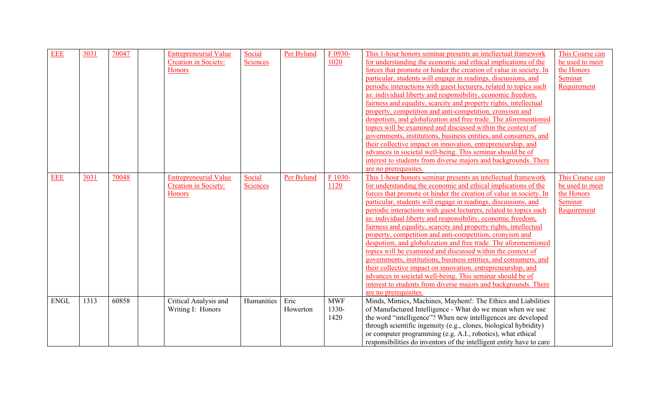| <b>EEE</b>  | 3031 | 70047 | <b>Entrepreneurial Value</b> | Social          | Per Bylund | F 0930-    | This 1-hour honors seminar presents an intellectual framework        | This Course can |
|-------------|------|-------|------------------------------|-----------------|------------|------------|----------------------------------------------------------------------|-----------------|
|             |      |       | <b>Creation in Society:</b>  | <b>Sciences</b> |            | 1020       | for understanding the economic and ethical implications of the       | be used to meet |
|             |      |       | <b>Honors</b>                |                 |            |            | forces that promote or hinder the creation of value in society. In   | the Honors      |
|             |      |       |                              |                 |            |            | particular, students will engage in readings, discussions, and       | Seminar         |
|             |      |       |                              |                 |            |            | periodic interactions with guest lecturers, related to topics such   | Requirement     |
|             |      |       |                              |                 |            |            | as: individual liberty and responsibility, economic freedom,         |                 |
|             |      |       |                              |                 |            |            | fairness and equality, scarcity and property rights, intellectual    |                 |
|             |      |       |                              |                 |            |            | property, competition and anti-competition, cronyism and             |                 |
|             |      |       |                              |                 |            |            | despotism, and globalization and free trade. The aforementioned      |                 |
|             |      |       |                              |                 |            |            | topics will be examined and discussed within the context of          |                 |
|             |      |       |                              |                 |            |            | governments, institutions, business entities, and consumers, and     |                 |
|             |      |       |                              |                 |            |            | their collective impact on innovation, entrepreneurship, and         |                 |
|             |      |       |                              |                 |            |            | advances in societal well-being. This seminar should be of           |                 |
|             |      |       |                              |                 |            |            | interest to students from diverse majors and backgrounds. There      |                 |
|             |      |       |                              |                 |            |            | are no prerequisites.                                                |                 |
| <b>EEE</b>  | 3031 | 70048 | <b>Entrepreneurial Value</b> | Social          | Per Bylund | $F1030-$   | This 1-hour honors seminar presents an intellectual framework        | This Course can |
|             |      |       | <b>Creation in Society:</b>  | <b>Sciences</b> |            | 1120       | for understanding the economic and ethical implications of the       | be used to meet |
|             |      |       | <b>Honors</b>                |                 |            |            | forces that promote or hinder the creation of value in society. In   | the Honors      |
|             |      |       |                              |                 |            |            | particular, students will engage in readings, discussions, and       | Seminar         |
|             |      |       |                              |                 |            |            | periodic interactions with guest lecturers, related to topics such   | Requirement     |
|             |      |       |                              |                 |            |            | as: individual liberty and responsibility, economic freedom,         |                 |
|             |      |       |                              |                 |            |            | fairness and equality, scarcity and property rights, intellectual    |                 |
|             |      |       |                              |                 |            |            | property, competition and anti-competition, cronyism and             |                 |
|             |      |       |                              |                 |            |            | despotism, and globalization and free trade. The aforementioned      |                 |
|             |      |       |                              |                 |            |            | topics will be examined and discussed within the context of          |                 |
|             |      |       |                              |                 |            |            | governments, institutions, business entities, and consumers, and     |                 |
|             |      |       |                              |                 |            |            | their collective impact on innovation, entrepreneurship, and         |                 |
|             |      |       |                              |                 |            |            | advances in societal well-being. This seminar should be of           |                 |
|             |      |       |                              |                 |            |            | interest to students from diverse majors and backgrounds. There      |                 |
|             |      |       |                              |                 |            |            | are no prerequisites.                                                |                 |
| <b>ENGL</b> | 1313 | 60858 | Critical Analysis and        | Humanities      | Eric       | <b>MWF</b> | Minds, Mimics, Machines, Mayhem!: The Ethics and Liabilities         |                 |
|             |      |       | Writing I: Honors            |                 | Howerton   | 1330-      | of Manufactured Intelligence - What do we mean when we use           |                 |
|             |      |       |                              |                 |            | 1420       | the word "intelligence"? When new intelligences are developed        |                 |
|             |      |       |                              |                 |            |            | through scientific ingenuity (e.g., clones, biological hybridity)    |                 |
|             |      |       |                              |                 |            |            | or computer programming (e.g. A.I., robotics), what ethical          |                 |
|             |      |       |                              |                 |            |            | responsibilities do inventors of the intelligent entity have to care |                 |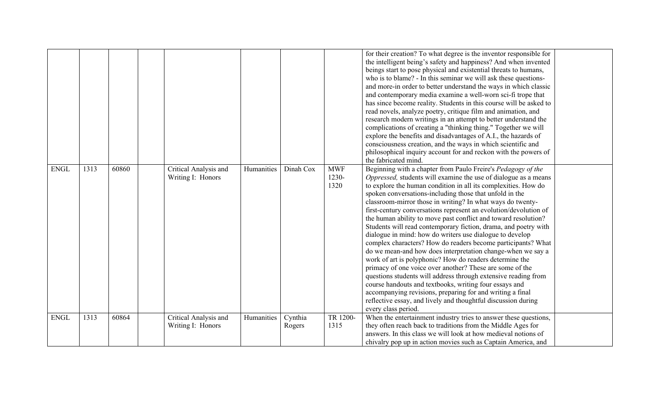|             |      |       |                                            |            |                   |                             | for their creation? To what degree is the inventor responsible for<br>the intelligent being's safety and happiness? And when invented<br>beings start to pose physical and existential threats to humans,<br>who is to blame? - In this seminar we will ask these questions-<br>and more-in order to better understand the ways in which classic<br>and contemporary media examine a well-worn sci-fi trope that<br>has since become reality. Students in this course will be asked to<br>read novels, analyze poetry, critique film and animation, and<br>research modern writings in an attempt to better understand the<br>complications of creating a "thinking thing." Together we will<br>explore the benefits and disadvantages of A.I., the hazards of<br>consciousness creation, and the ways in which scientific and<br>philosophical inquiry account for and reckon with the powers of<br>the fabricated mind.                                                                                                                                                                                                              |  |
|-------------|------|-------|--------------------------------------------|------------|-------------------|-----------------------------|----------------------------------------------------------------------------------------------------------------------------------------------------------------------------------------------------------------------------------------------------------------------------------------------------------------------------------------------------------------------------------------------------------------------------------------------------------------------------------------------------------------------------------------------------------------------------------------------------------------------------------------------------------------------------------------------------------------------------------------------------------------------------------------------------------------------------------------------------------------------------------------------------------------------------------------------------------------------------------------------------------------------------------------------------------------------------------------------------------------------------------------|--|
| <b>ENGL</b> | 1313 | 60860 | Critical Analysis and<br>Writing I: Honors | Humanities | Dinah Cox         | <b>MWF</b><br>1230-<br>1320 | Beginning with a chapter from Paulo Freire's Pedagogy of the<br>Oppressed, students will examine the use of dialogue as a means<br>to explore the human condition in all its complexities. How do<br>spoken conversations-including those that unfold in the<br>classroom-mirror those in writing? In what ways do twenty-<br>first-century conversations represent an evolution/devolution of<br>the human ability to move past conflict and toward resolution?<br>Students will read contemporary fiction, drama, and poetry with<br>dialogue in mind: how do writers use dialogue to develop<br>complex characters? How do readers become participants? What<br>do we mean-and how does interpretation change-when we say a<br>work of art is polyphonic? How do readers determine the<br>primacy of one voice over another? These are some of the<br>questions students will address through extensive reading from<br>course handouts and textbooks, writing four essays and<br>accompanying revisions, preparing for and writing a final<br>reflective essay, and lively and thoughtful discussion during<br>every class period. |  |
| <b>ENGL</b> | 1313 | 60864 | Critical Analysis and<br>Writing I: Honors | Humanities | Cynthia<br>Rogers | TR 1200-<br>1315            | When the entertainment industry tries to answer these questions,<br>they often reach back to traditions from the Middle Ages for<br>answers. In this class we will look at how medieval notions of<br>chivalry pop up in action movies such as Captain America, and                                                                                                                                                                                                                                                                                                                                                                                                                                                                                                                                                                                                                                                                                                                                                                                                                                                                    |  |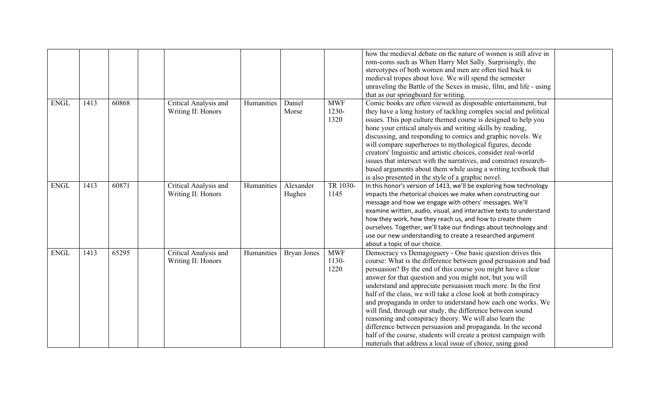|             |      |       |                                             |            |                     |                               | how the medieval debate on the nature of women is still alive in<br>rom-coms such as When Harry Met Sally. Surprisingly, the<br>stereotypes of both women and men are often tied back to<br>medieval tropes about love. We will spend the semester<br>unraveling the Battle of the Sexes in music, film, and life - using<br>that as our springboard for writing.                                                                                                                                                                                                                                                                                                                                                                                                                    |
|-------------|------|-------|---------------------------------------------|------------|---------------------|-------------------------------|--------------------------------------------------------------------------------------------------------------------------------------------------------------------------------------------------------------------------------------------------------------------------------------------------------------------------------------------------------------------------------------------------------------------------------------------------------------------------------------------------------------------------------------------------------------------------------------------------------------------------------------------------------------------------------------------------------------------------------------------------------------------------------------|
| <b>ENGL</b> | 1413 | 60868 | Critical Analysis and<br>Writing II: Honors | Humanities | Daniel<br>Morse     | <b>MWF</b><br>1230-<br>1320   | Comic books are often viewed as disposable entertainment, but<br>they have a long history of tackling complex social and political<br>issues. This pop culture themed course is designed to help you<br>hone your critical analysis and writing skills by reading,<br>discussing, and responding to comics and graphic novels. We<br>will compare superheroes to mythological figures, decode<br>creators' linguistic and artistic choices, consider real-world<br>issues that intersect with the narratives, and construct research-<br>based arguments about them while using a writing textbook that<br>is also presented in the style of a graphic novel.                                                                                                                        |
| <b>ENGL</b> | 1413 | 60871 | Critical Analysis and<br>Writing II: Honors | Humanities | Alexander<br>Hughes | TR 1030-<br>1145              | In this honor's version of 1413, we'll be exploring how technology<br>impacts the rhetorical choices we make when constructing our<br>message and how we engage with others' messages. We'll<br>examine written, audio, visual, and interactive texts to understand<br>how they work, how they reach us, and how to create them<br>ourselves. Together, we'll take our findings about technology and<br>use our new understanding to create a researched argument<br>about a topic of our choice.                                                                                                                                                                                                                                                                                    |
| <b>ENGL</b> | 1413 | 65295 | Critical Analysis and<br>Writing II: Honors | Humanities | <b>Bryan Jones</b>  | <b>MWF</b><br>$1130-$<br>1220 | Democracy vs Demagoguery - One basic question drives this<br>course: What is the difference between good persuasion and bad<br>persuasion? By the end of this course you might have a clear<br>answer for that question and you might not, but you will<br>understand and appreciate persuasion much more. In the first<br>half of the class, we will take a close look at both conspiracy<br>and propaganda in order to understand how each one works. We<br>will find, through our study, the difference between sound<br>reasoning and conspiracy theory. We will also learn the<br>difference between persuasion and propaganda. In the second<br>half of the course, students will create a protest campaign with<br>materials that address a local issue of choice, using good |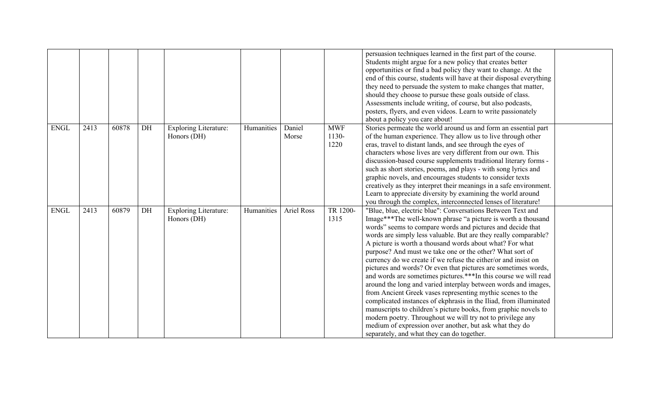|             |      |       |    |                                             |            |                   |                             | persuasion techniques learned in the first part of the course.<br>Students might argue for a new policy that creates better<br>opportunities or find a bad policy they want to change. At the<br>end of this course, students will have at their disposal everything<br>they need to persuade the system to make changes that matter,<br>should they choose to pursue these goals outside of class.<br>Assessments include writing, of course, but also podcasts,<br>posters, flyers, and even videos. Learn to write passionately<br>about a policy you care about!                                                                                                                                                                                                                                                                                                                                                                                                                                                                        |  |
|-------------|------|-------|----|---------------------------------------------|------------|-------------------|-----------------------------|---------------------------------------------------------------------------------------------------------------------------------------------------------------------------------------------------------------------------------------------------------------------------------------------------------------------------------------------------------------------------------------------------------------------------------------------------------------------------------------------------------------------------------------------------------------------------------------------------------------------------------------------------------------------------------------------------------------------------------------------------------------------------------------------------------------------------------------------------------------------------------------------------------------------------------------------------------------------------------------------------------------------------------------------|--|
| <b>ENGL</b> | 2413 | 60878 | DH | <b>Exploring Literature:</b><br>Honors (DH) | Humanities | Daniel<br>Morse   | <b>MWF</b><br>1130-<br>1220 | Stories permeate the world around us and form an essential part<br>of the human experience. They allow us to live through other<br>eras, travel to distant lands, and see through the eyes of<br>characters whose lives are very different from our own. This<br>discussion-based course supplements traditional literary forms -<br>such as short stories, poems, and plays - with song lyrics and<br>graphic novels, and encourages students to consider texts<br>creatively as they interpret their meanings in a safe environment.<br>Learn to appreciate diversity by examining the world around<br>you through the complex, interconnected lenses of literature!                                                                                                                                                                                                                                                                                                                                                                      |  |
| <b>ENGL</b> | 2413 | 60879 | DH | <b>Exploring Literature:</b><br>Honors (DH) | Humanities | <b>Ariel Ross</b> | TR 1200-<br>1315            | "Blue, blue, electric blue": Conversations Between Text and<br>Image***The well-known phrase "a picture is worth a thousand<br>words" seems to compare words and pictures and decide that<br>words are simply less valuable. But are they really comparable?<br>A picture is worth a thousand words about what? For what<br>purpose? And must we take one or the other? What sort of<br>currency do we create if we refuse the either/or and insist on<br>pictures and words? Or even that pictures are sometimes words,<br>and words are sometimes pictures.*** In this course we will read<br>around the long and varied interplay between words and images,<br>from Ancient Greek vases representing mythic scenes to the<br>complicated instances of ekphrasis in the Iliad, from illuminated<br>manuscripts to children's picture books, from graphic novels to<br>modern poetry. Throughout we will try not to privilege any<br>medium of expression over another, but ask what they do<br>separately, and what they can do together. |  |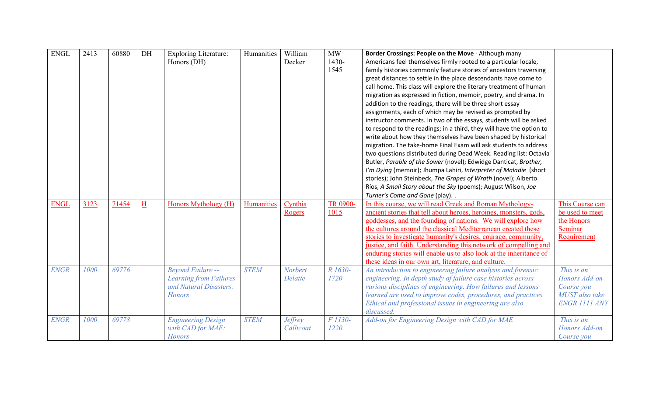| <b>ENGL</b> | 2413 | 60880 | DH                      | <b>Exploring Literature:</b><br>Honors (DH)                                                          | Humanities  | William<br>Decker           | MW<br>1430-<br>1545 | Border Crossings: People on the Move - Although many<br>Americans feel themselves firmly rooted to a particular locale,<br>family histories commonly feature stories of ancestors traversing<br>great distances to settle in the place descendants have come to<br>call home. This class will explore the literary treatment of human<br>migration as expressed in fiction, memoir, poetry, and drama. In<br>addition to the readings, there will be three short essay<br>assignments, each of which may be revised as prompted by<br>instructor comments. In two of the essays, students will be asked<br>to respond to the readings; in a third, they will have the option to<br>write about how they themselves have been shaped by historical<br>migration. The take-home Final Exam will ask students to address<br>two questions distributed during Dead Week. Reading list: Octavia<br>Butler, Parable of the Sower (novel); Edwidge Danticat, Brother,<br>I'm Dying (memoir); Jhumpa Lahiri, Interpreter of Maladie (short<br>stories); John Steinbeck, The Grapes of Wrath (novel); Alberto<br>Ríos, A Small Story about the Sky (poems); August Wilson, Joe |                                                                                            |
|-------------|------|-------|-------------------------|------------------------------------------------------------------------------------------------------|-------------|-----------------------------|---------------------|-----------------------------------------------------------------------------------------------------------------------------------------------------------------------------------------------------------------------------------------------------------------------------------------------------------------------------------------------------------------------------------------------------------------------------------------------------------------------------------------------------------------------------------------------------------------------------------------------------------------------------------------------------------------------------------------------------------------------------------------------------------------------------------------------------------------------------------------------------------------------------------------------------------------------------------------------------------------------------------------------------------------------------------------------------------------------------------------------------------------------------------------------------------------------|--------------------------------------------------------------------------------------------|
| <b>ENGL</b> | 3123 | 71454 | $\overline{\mathrm{H}}$ | Honors Mythology (H)                                                                                 | Humanities  | Cynthia<br>Rogers           | TR 0900-<br>1015    | Turner's Come and Gone (play). .<br>In this course, we will read Greek and Roman Mythology-<br>ancient stories that tell about heroes, heroines, monsters, gods,<br>goddesses, and the founding of nations. We will explore how<br>the cultures around the classical Mediterranean created these<br>stories to investigate humanity's desires, courage, community,<br>justice, and faith. Understanding this network of compelling and<br>enduring stories will enable us to also look at the inheritance of<br>these ideas in our own art, literature, and culture.                                                                                                                                                                                                                                                                                                                                                                                                                                                                                                                                                                                                  | This Course can<br>be used to meet<br>the Honors<br>Seminar<br>Requirement                 |
| <b>ENGR</b> | 1000 | 69776 |                         | <b>Beyond Failure --</b><br><b>Learning from Failures</b><br>and Natural Disasters:<br><b>Honors</b> | <b>STEM</b> | <b>Norbert</b><br>Delatte   | R 1630-<br>1720     | An introduction to engineering failure analysis and forensic<br>engineering. In depth study of failure case histories across<br>various disciplines of engineering. How failures and lessons<br>learned are used to improve codes, procedures, and practices.<br>Ethical and professional issues in engineering are also<br>discussed.                                                                                                                                                                                                                                                                                                                                                                                                                                                                                                                                                                                                                                                                                                                                                                                                                                | This is an<br>Honors Add-on<br>Course you<br><b>MUST</b> also take<br><b>ENGR 1111 ANY</b> |
| <b>ENGR</b> | 1000 | 69778 |                         | <b>Engineering Design</b><br>with CAD for MAE:<br><b>Honors</b>                                      | <b>STEM</b> | <b>Jeffrey</b><br>Callicoat | F 1130-<br>1220     | Add-on for Engineering Design with CAD for MAE                                                                                                                                                                                                                                                                                                                                                                                                                                                                                                                                                                                                                                                                                                                                                                                                                                                                                                                                                                                                                                                                                                                        | This is an<br>Honors Add-on<br>Course you                                                  |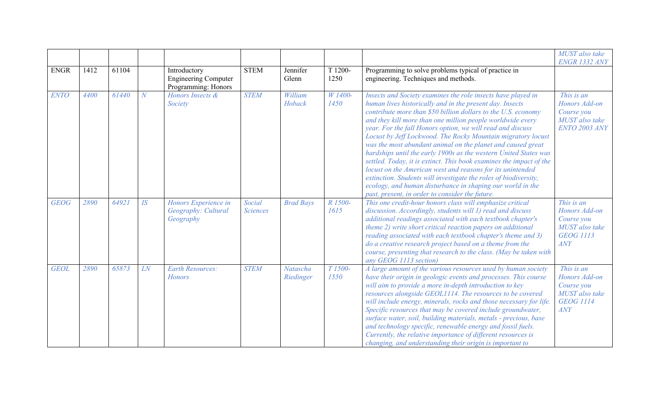|             |      |       |                |                                                                    |                           |                       |                             |                                                                                                                                                                                                                                                                                                                                                                                                                                                                                                                                                                                                                                                                                                                                                                                                                                                    | MUST also take<br><b>ENGR 1332 ANY</b>                                                 |
|-------------|------|-------|----------------|--------------------------------------------------------------------|---------------------------|-----------------------|-----------------------------|----------------------------------------------------------------------------------------------------------------------------------------------------------------------------------------------------------------------------------------------------------------------------------------------------------------------------------------------------------------------------------------------------------------------------------------------------------------------------------------------------------------------------------------------------------------------------------------------------------------------------------------------------------------------------------------------------------------------------------------------------------------------------------------------------------------------------------------------------|----------------------------------------------------------------------------------------|
| <b>ENGR</b> | 1412 | 61104 |                | Introductory<br><b>Engineering Computer</b><br>Programming: Honors | <b>STEM</b>               | Jennifer<br>Glenn     | T 1200-<br>1250             | Programming to solve problems typical of practice in<br>engineering. Techniques and methods.                                                                                                                                                                                                                                                                                                                                                                                                                                                                                                                                                                                                                                                                                                                                                       |                                                                                        |
| <b>ENTO</b> | 4400 | 61440 | $\overline{N}$ | Honors Insects &<br>Society                                        | <b>STEM</b>               | William<br>Hoback     | W 1400-<br>1450             | Insects and Society examines the role insects have played in<br>human lives historically and in the present day. Insects<br>contribute more than \$50 billion dollars to the U.S. economy<br>and they kill more than one million people worldwide every<br>year. For the fall Honors option, we will read and discuss<br>Locust by Jeff Lockwood. The Rocky Mountain migratory locust<br>was the most abundant animal on the planet and caused great<br>hardships until the early 1900s as the western United States was<br>settled. Today, it is extinct. This book examines the impact of the<br>locust on the American west and reasons for its unintended<br>extinction. Students will investigate the roles of biodiversity,<br>ecology, and human disturbance in shaping our world in the<br>past, present, in order to consider the future. | This is an<br>Honors Add-on<br>Course you<br>MUST also take<br><b>ENTO 2003 ANY</b>    |
| <b>GEOG</b> | 2890 | 64921 | IS             | Honors Experience in<br>Geography: Cultural<br>Geography           | Social<br><b>Sciences</b> | <b>Brad Bays</b>      | R 1500-<br>1615             | This one credit-hour honors class will emphasize critical<br>discussion. Accordingly, students will 1) read and discuss<br>additional readings associated with each textbook chapter's<br>theme 2) write short critical reaction papers on additional<br>reading associated with each textbook chapter's theme and 3)<br>do a creative research project based on a theme from the<br>course, presenting that research to the class. (May be taken with<br>any GEOG 1113 section)                                                                                                                                                                                                                                                                                                                                                                   | This is an<br>Honors Add-on<br>Course you<br>MUST also take<br><b>GEOG 1113</b><br>ANY |
| <b>GEOL</b> | 2890 | 65873 | LN             | <b>Earth Resources:</b><br><b>Honors</b>                           | <b>STEM</b>               | Natascha<br>Riedinger | T <sub>1500</sub> -<br>1550 | A large amount of the various resources used by human society<br>have their origin in geologic events and processes. This course<br>will aim to provide a more in-depth introduction to key<br>resources alongside GEOL1114. The resources to be covered<br>will include energy, minerals, rocks and those necessary for life.<br>Specific resources that may be covered include groundwater,<br>surface water, soil, building materials, metals - precious, base<br>and technology specific, renewable energy and fossil fuels.<br>Currently, the relative importance of different resources is<br>changing, and understanding their origin is important to                                                                                                                                                                                       | This is an<br>Honors Add-on<br>Course you<br>MUST also take<br><b>GEOG 1114</b><br>ANY |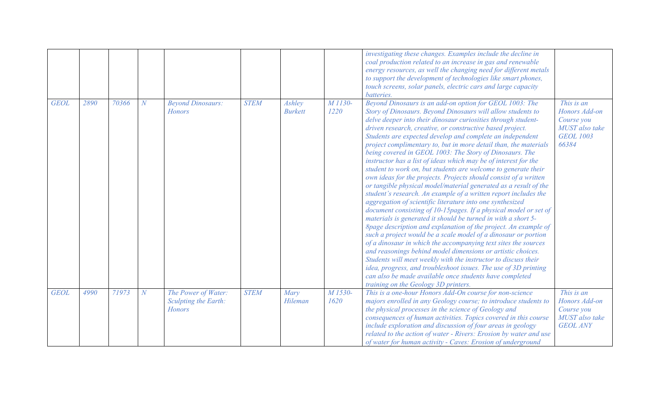|             |      |       |                |                                                              |             |                          |                 | investigating these changes. Examples include the decline in<br>coal production related to an increase in gas and renewable<br>energy resources, as well the changing need for different metals<br>to support the development of technologies like smart phones,<br>touch screens, solar panels, electric cars and large capacity<br>batteries.                                                                                                                                                                                                                                                                                                                                                                                                                                                                                                                                                                                                                                                                                                                                                                                                                                                                                                                                                                                                                                                                                                                                                                  |                                                                                          |
|-------------|------|-------|----------------|--------------------------------------------------------------|-------------|--------------------------|-----------------|------------------------------------------------------------------------------------------------------------------------------------------------------------------------------------------------------------------------------------------------------------------------------------------------------------------------------------------------------------------------------------------------------------------------------------------------------------------------------------------------------------------------------------------------------------------------------------------------------------------------------------------------------------------------------------------------------------------------------------------------------------------------------------------------------------------------------------------------------------------------------------------------------------------------------------------------------------------------------------------------------------------------------------------------------------------------------------------------------------------------------------------------------------------------------------------------------------------------------------------------------------------------------------------------------------------------------------------------------------------------------------------------------------------------------------------------------------------------------------------------------------------|------------------------------------------------------------------------------------------|
| <b>GEOL</b> | 2890 | 70366 | $\overline{N}$ | <b>Beyond Dinosaurs:</b><br><b>Honors</b>                    | <b>STEM</b> | Ashley<br><b>Burkett</b> | M 1130-<br>1220 | Beyond Dinosaurs is an add-on option for GEOL 1003: The<br>Story of Dinosaurs. Beyond Dinosaurs will allow students to<br>delve deeper into their dinosaur curiosities through student-<br>driven research, creative, or constructive based project.<br>Students are expected develop and complete an independent<br>project complimentary to, but in more detail than, the materials<br>being covered in GEOL 1003: The Story of Dinosaurs. The<br>instructor has a list of ideas which may be of interest for the<br>student to work on, but students are welcome to generate their<br>own ideas for the projects. Projects should consist of a written<br>or tangible physical model/material generated as a result of the<br>student's research. An example of a written report includes the<br>aggregation of scientific literature into one synthesized<br>document consisting of 10-15pages. If a physical model or set of<br>materials is generated it should be turned in with a short 5-<br>8page description and explanation of the project. An example of<br>such a project would be a scale model of a dinosaur or portion<br>of a dinosaur in which the accompanying text sites the sources<br>and reasonings behind model dimensions or artistic choices.<br>Students will meet weekly with the instructor to discuss their<br>idea, progress, and troubleshoot issues. The use of 3D printing<br>can also be made available once students have completed<br>training on the Geology 3D printers. | This is an<br>Honors Add-on<br>Course you<br>MUST also take<br><b>GEOL 1003</b><br>66384 |
| <b>GEOL</b> | 4990 | 71973 | $\overline{N}$ | The Power of Water:<br>Sculpting the Earth:<br><b>Honors</b> | <b>STEM</b> | Mary<br>Hileman          | M 1530-<br>1620 | This is a one-hour Honors Add-On course for non-science<br>majors enrolled in any Geology course; to introduce students to<br>the physical processes in the science of Geology and<br>consequences of human activities. Topics covered in this course<br>include exploration and discussion of four areas in geology<br>related to the action of water - Rivers: Erosion by water and use<br>of water for human activity - Caves: Erosion of underground                                                                                                                                                                                                                                                                                                                                                                                                                                                                                                                                                                                                                                                                                                                                                                                                                                                                                                                                                                                                                                                         | This is an<br>Honors Add-on<br>Course you<br>MUST also take<br><b>GEOL ANY</b>           |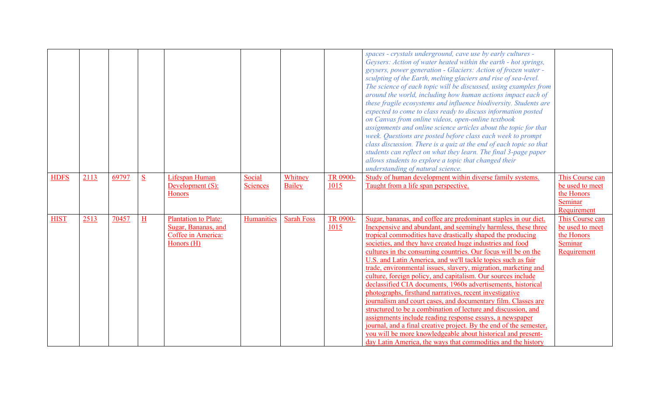| <b>HDFS</b> | 2113 | 69797 | S | Lifespan Human<br>Development (S):                 | Social<br><b>Sciences</b> | Whitney<br>Bailey | TR 0900-<br>1015 | spaces - crystals underground, cave use by early cultures -<br>Geysers: Action of water heated within the earth - hot springs,<br>geysers, power generation - Glaciers: Action of frozen water -<br>sculpting of the Earth, melting glaciers and rise of sea-level.<br>The science of each topic will be discussed, using examples from<br>around the world, including how human actions impact each of<br>these fragile ecosystems and influence biodiversity. Students are<br>expected to come to class ready to discuss information posted<br>on Canvas from online videos, open-online textbook<br>assignments and online science articles about the topic for that<br>week. Questions are posted before class each week to prompt<br>class discussion. There is a quiz at the end of each topic so that<br>students can reflect on what they learn. The final 3-page paper<br>allows students to explore a topic that changed their<br>understanding of natural science.<br>Study of human development within diverse family systems.<br>Taught from a life span perspective. | This Course can<br>be used to meet |
|-------------|------|-------|---|----------------------------------------------------|---------------------------|-------------------|------------------|------------------------------------------------------------------------------------------------------------------------------------------------------------------------------------------------------------------------------------------------------------------------------------------------------------------------------------------------------------------------------------------------------------------------------------------------------------------------------------------------------------------------------------------------------------------------------------------------------------------------------------------------------------------------------------------------------------------------------------------------------------------------------------------------------------------------------------------------------------------------------------------------------------------------------------------------------------------------------------------------------------------------------------------------------------------------------------|------------------------------------|
|             |      |       |   | Honors                                             |                           |                   |                  |                                                                                                                                                                                                                                                                                                                                                                                                                                                                                                                                                                                                                                                                                                                                                                                                                                                                                                                                                                                                                                                                                    | the Honors<br>Seminar              |
|             |      |       |   |                                                    |                           |                   |                  |                                                                                                                                                                                                                                                                                                                                                                                                                                                                                                                                                                                                                                                                                                                                                                                                                                                                                                                                                                                                                                                                                    | Requirement                        |
| <b>HIST</b> | 2513 | 70457 | H | <b>Plantation to Plate:</b><br>Sugar, Bananas, and | Humanities                | <b>Sarah Foss</b> | TR 0900-<br>1015 | Sugar, bananas, and coffee are predominant staples in our diet.<br>In expensive and abundant, and seemingly harmless, these three                                                                                                                                                                                                                                                                                                                                                                                                                                                                                                                                                                                                                                                                                                                                                                                                                                                                                                                                                  | This Course can<br>be used to meet |
|             |      |       |   | Coffee in America:                                 |                           |                   |                  | tropical commodities have drastically shaped the producing                                                                                                                                                                                                                                                                                                                                                                                                                                                                                                                                                                                                                                                                                                                                                                                                                                                                                                                                                                                                                         | the Honors                         |
|             |      |       |   | Honors (H)                                         |                           |                   |                  | societies, and they have created huge industries and food                                                                                                                                                                                                                                                                                                                                                                                                                                                                                                                                                                                                                                                                                                                                                                                                                                                                                                                                                                                                                          | Seminar                            |
|             |      |       |   |                                                    |                           |                   |                  | cultures in the consuming countries. Our focus will be on the                                                                                                                                                                                                                                                                                                                                                                                                                                                                                                                                                                                                                                                                                                                                                                                                                                                                                                                                                                                                                      | Requirement                        |
|             |      |       |   |                                                    |                           |                   |                  | U.S. and Latin America, and we'll tackle topics such as fair                                                                                                                                                                                                                                                                                                                                                                                                                                                                                                                                                                                                                                                                                                                                                                                                                                                                                                                                                                                                                       |                                    |
|             |      |       |   |                                                    |                           |                   |                  | trade, environmental issues, slavery, migration, marketing and                                                                                                                                                                                                                                                                                                                                                                                                                                                                                                                                                                                                                                                                                                                                                                                                                                                                                                                                                                                                                     |                                    |
|             |      |       |   |                                                    |                           |                   |                  | culture, foreign policy, and capitalism. Our sources include<br>declassified CIA documents, 1960s advertisements, historical                                                                                                                                                                                                                                                                                                                                                                                                                                                                                                                                                                                                                                                                                                                                                                                                                                                                                                                                                       |                                    |
|             |      |       |   |                                                    |                           |                   |                  | photographs, firsthand narratives, recent investigative                                                                                                                                                                                                                                                                                                                                                                                                                                                                                                                                                                                                                                                                                                                                                                                                                                                                                                                                                                                                                            |                                    |
|             |      |       |   |                                                    |                           |                   |                  | journalism and court cases, and documentary film. Classes are                                                                                                                                                                                                                                                                                                                                                                                                                                                                                                                                                                                                                                                                                                                                                                                                                                                                                                                                                                                                                      |                                    |
|             |      |       |   |                                                    |                           |                   |                  | structured to be a combination of lecture and discussion, and                                                                                                                                                                                                                                                                                                                                                                                                                                                                                                                                                                                                                                                                                                                                                                                                                                                                                                                                                                                                                      |                                    |
|             |      |       |   |                                                    |                           |                   |                  | assignments include reading response essays, a newspaper                                                                                                                                                                                                                                                                                                                                                                                                                                                                                                                                                                                                                                                                                                                                                                                                                                                                                                                                                                                                                           |                                    |
|             |      |       |   |                                                    |                           |                   |                  | journal, and a final creative project. By the end of the semester,                                                                                                                                                                                                                                                                                                                                                                                                                                                                                                                                                                                                                                                                                                                                                                                                                                                                                                                                                                                                                 |                                    |
|             |      |       |   |                                                    |                           |                   |                  | you will be more knowledgeable about historical and present-                                                                                                                                                                                                                                                                                                                                                                                                                                                                                                                                                                                                                                                                                                                                                                                                                                                                                                                                                                                                                       |                                    |
|             |      |       |   |                                                    |                           |                   |                  | day Latin America, the ways that commodities and the history                                                                                                                                                                                                                                                                                                                                                                                                                                                                                                                                                                                                                                                                                                                                                                                                                                                                                                                                                                                                                       |                                    |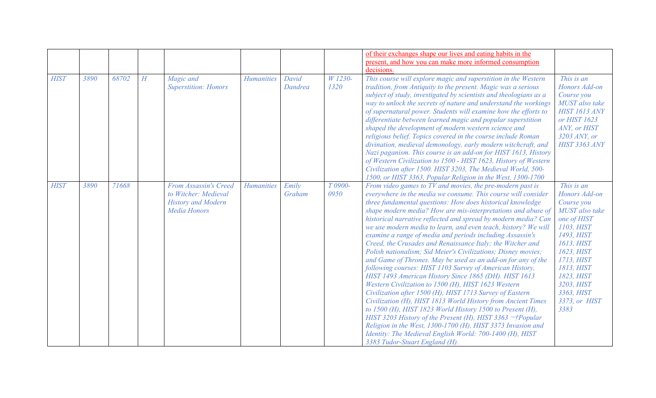|             |      |       |   |                                                                                            |                   |                  |                 | of their exchanges shape our lives and eating habits in the<br>present, and how you can make more informed consumption<br>decisions                                                                                                                                                                                                                                                                                                                                                                                                                                                                                                                                                                                                                                                                                                                                                                                                                                                                                                                                                                                                                                                                                                                           |                                                                                                                                                                                                                                          |
|-------------|------|-------|---|--------------------------------------------------------------------------------------------|-------------------|------------------|-----------------|---------------------------------------------------------------------------------------------------------------------------------------------------------------------------------------------------------------------------------------------------------------------------------------------------------------------------------------------------------------------------------------------------------------------------------------------------------------------------------------------------------------------------------------------------------------------------------------------------------------------------------------------------------------------------------------------------------------------------------------------------------------------------------------------------------------------------------------------------------------------------------------------------------------------------------------------------------------------------------------------------------------------------------------------------------------------------------------------------------------------------------------------------------------------------------------------------------------------------------------------------------------|------------------------------------------------------------------------------------------------------------------------------------------------------------------------------------------------------------------------------------------|
| <b>HIST</b> | 3890 | 68702 | H | Magic and<br><b>Superstition: Honors</b>                                                   | <b>Humanities</b> | David<br>Dandrea | W 1230-<br>1320 | This course will explore magic and superstition in the Western<br>tradition, from Antiquity to the present. Magic was a serious<br>subject of study, investigated by scientists and theologians as a<br>way to unlock the secrets of nature and understand the workings<br>of supernatural power. Students will examine how the efforts to<br>differentiate between learned magic and popular superstition<br>shaped the development of modern western science and<br>religious belief. Topics covered in the course include Roman<br>divination, medieval demonology, early modern witchcraft, and<br>Nazi paganism. This course is an add-on for HIST 1613, History<br>of Western Civilization to 1500 - HIST 1623, History of Western<br>Civilization after 1500. HIST 3203, The Medieval World, 500-<br>1500, or HIST 3363, Popular Religion in the West, 1300-1700                                                                                                                                                                                                                                                                                                                                                                                       | This is an<br>Honors Add-on<br>Course you<br>MUST also take<br><b>HIST 1613 ANY</b><br>or HIST 1623<br>ANY, or HIST<br>3203 ANY, or<br><b>HIST 3363 ANY</b>                                                                              |
| <b>HIST</b> | 3890 | 71668 |   | From Assassin's Creed<br>to Witcher: Medieval<br><b>History and Modern</b><br>Media Honors | <b>Humanities</b> | Emily<br>Graham  | T 0900-<br>0950 | From video games to TV and movies, the pre-modern past is<br>everywhere in the media we consume. This course will consider<br>three fundamental questions: How does historical knowledge<br>shape modern media? How are mis-interpretations and abuse of<br>historical narrative reflected and spread by modern media? Can<br>we use modern media to learn, and even teach, history? We will<br>examine a range of media and periods including Assassin's<br>Creed, the Crusades and Renaissance Italy; the Witcher and<br>Polish nationalism; Sid Meier's Civilizations; Disney movies;<br>and Game of Thrones. May be used as an add-on for any of the<br>following courses: HIST 1103 Survey of American History,<br>HIST 1493 American History Since 1865 (DH). HIST 1613<br>Western Civilization to 1500 (H), HIST 1623 Western<br>Civilization after 1500 (H), HIST 1713 Survey of Eastern<br>Civilization (H), HIST 1813 World History from Ancient Times<br>to 1500 (H), HIST 1823 World History 1500 to Present (H),<br>HIST 3203 History of the Present (H), HIST 3363 $\neg$ †Popular<br>Religion in the West, 1300-1700 (H), HIST 3373 Invasion and<br>Identity: The Medieval English World: 700-1400 (H), HIST<br>3383 Tudor-Stuart England (H). | This is an<br>Honors Add-on<br>Course you<br><b>MUST</b> also take<br>one of HIST<br>1103, HIST<br>1493, HIST<br>1613, HIST<br>1623, HIST<br>1713, HIST<br>1813, HIST<br>1823, HIST<br>3203, HIST<br>3363, HIST<br>3373, or HIST<br>3383 |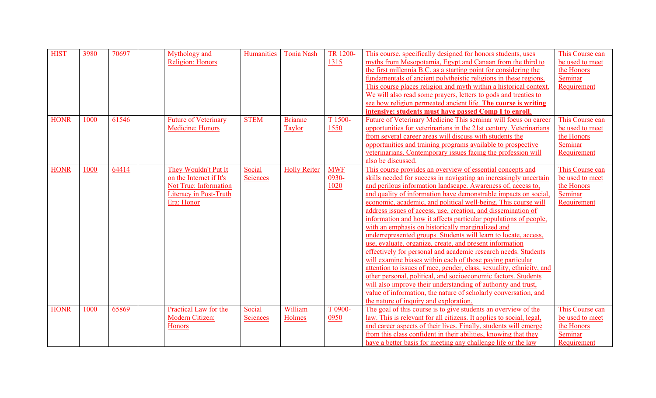| <b>HIST</b> | 3980 | 70697 | Mythology and<br><b>Religion: Honors</b>                                                                                | Humanities         | <b>Tonia Nash</b>        | TR 1200-<br>1315               | This course, specifically designed for honors students, uses<br>myths from Mesopotamia, Egypt and Canaan from the third to<br>the first millennia B.C. as a starting point for considering the<br>fundamentals of ancient polytheistic religions in these regions.<br>This course places religion and myth within a historical context.<br>We will also read some prayers, letters to gods and treaties to<br>see how religion permeated ancient life. The course is writing<br>intensive: students must have passed Comp I to enroll.                                                                                                                                                                                                                                                                                                                                                                                                                                                                                                                                                                                 | This Course can<br>be used to meet<br>the Honors<br>Seminar<br>Requirement |
|-------------|------|-------|-------------------------------------------------------------------------------------------------------------------------|--------------------|--------------------------|--------------------------------|------------------------------------------------------------------------------------------------------------------------------------------------------------------------------------------------------------------------------------------------------------------------------------------------------------------------------------------------------------------------------------------------------------------------------------------------------------------------------------------------------------------------------------------------------------------------------------------------------------------------------------------------------------------------------------------------------------------------------------------------------------------------------------------------------------------------------------------------------------------------------------------------------------------------------------------------------------------------------------------------------------------------------------------------------------------------------------------------------------------------|----------------------------------------------------------------------------|
| <b>HONR</b> | 1000 | 61546 | <b>Future of Veterinary</b><br><b>Medicine: Honors</b>                                                                  | <b>STEM</b>        | <b>Brianne</b><br>Taylor | T 1500-<br>1550                | Future of Veterinary Medicine This seminar will focus on career<br>opportunities for veterinarians in the 21st century. Veterinarians<br>from several career areas will discuss with students the<br>opportunities and training programs available to prospective<br>veterinarians. Contemporary issues facing the profession will<br>also be discussed.                                                                                                                                                                                                                                                                                                                                                                                                                                                                                                                                                                                                                                                                                                                                                               | This Course can<br>be used to meet<br>the Honors<br>Seminar<br>Requirement |
| <b>HONR</b> | 1000 | 64414 | They Wouldn't Put It<br>on the Internet if It's<br>Not True: Information<br><b>Literacy in Post-Truth</b><br>Era: Honor | Social<br>Sciences | <b>Holly Reiter</b>      | <b>MWF</b><br>$0930 -$<br>1020 | This course provides an overview of essential concepts and<br>skills needed for success in navigating an increasingly uncertain<br>and perilous information landscape. Awareness of, access to,<br>and quality of information have demonstrable impacts on social,<br>economic, academic, and political well-being. This course will<br>address issues of access, use, creation, and dissemination of<br>information and how it affects particular populations of people,<br>with an emphasis on historically marginalized and<br>underrepresented groups. Students will learn to locate, access,<br>use, evaluate, organize, create, and present information<br>effectively for personal and academic research needs. Students<br>will examine biases within each of those paying particular<br>attention to issues of race, gender, class, sexuality, ethnicity, and<br>other personal, political, and socioeconomic factors. Students<br>will also improve their understanding of authority and trust,<br>value of information, the nature of scholarly conversation, and<br>the nature of inquiry and exploration. | This Course can<br>be used to meet<br>the Honors<br>Seminar<br>Requirement |
| <b>HONR</b> | 1000 | 65869 | Practical Law for the<br>Modern Citizen:<br><b>Honors</b>                                                               | Social<br>Sciences | William<br>Holmes        | T 0900-<br>0950                | The goal of this course is to give students an overview of the<br>law. This is relevant for all citizens. It applies to social, legal,<br>and career aspects of their lives. Finally, students will emerge<br>from this class confident in their abilities, knowing that they<br>have a better basis for meeting any challenge life or the law                                                                                                                                                                                                                                                                                                                                                                                                                                                                                                                                                                                                                                                                                                                                                                         | This Course can<br>be used to meet<br>the Honors<br>Seminar<br>Requirement |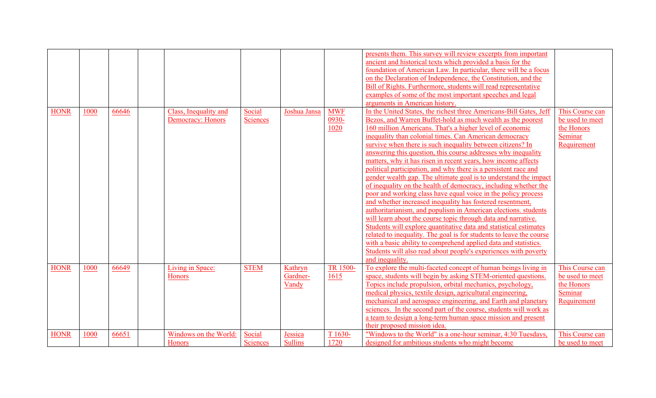|             |      |       |                                            |                           |                              |                             | presents them. This survey will review excerpts from important<br>ancient and historical texts which provided a basis for the<br>foundation of American Law. In particular, there will be a focus<br>on the Declaration of Independence, the Constitution, and the<br>Bill of Rights. Furthermore, students will read representative<br>examples of some of the most important speeches and legal<br>arguments in American history.                                                                                                                                                                                                                                                                                                                                                                                                                                                                                                                                                                                                                                                                                                                                                                                                     |                                                                            |
|-------------|------|-------|--------------------------------------------|---------------------------|------------------------------|-----------------------------|-----------------------------------------------------------------------------------------------------------------------------------------------------------------------------------------------------------------------------------------------------------------------------------------------------------------------------------------------------------------------------------------------------------------------------------------------------------------------------------------------------------------------------------------------------------------------------------------------------------------------------------------------------------------------------------------------------------------------------------------------------------------------------------------------------------------------------------------------------------------------------------------------------------------------------------------------------------------------------------------------------------------------------------------------------------------------------------------------------------------------------------------------------------------------------------------------------------------------------------------|----------------------------------------------------------------------------|
| <b>HONR</b> | 1000 | 66646 | Class, Inequality and<br>Democracy: Honors | Social<br>Sciences        | Joshua Jansa                 | <b>MWF</b><br>0930-<br>1020 | In the United States, the richest three Americans-Bill Gates, Jeff<br>Bezos, and Warren Buffet-hold as much wealth as the poorest<br>160 million Americans. That's a higher level of economic<br>inequality than colonial times. Can American democracy<br>survive when there is such inequality between citizens? In<br>answering this question, this course addresses why inequality<br>matters, why it has risen in recent years, how income affects<br>political participation, and why there is a persistent race and<br>gender wealth gap. The ultimate goal is to understand the impact<br>of inequality on the health of democracy, including whether the<br>poor and working class have equal voice in the policy process<br>and whether increased inequality has fostered resentment,<br>authoritarianism, and populism in American elections. students<br>will learn about the course topic through data and narrative.<br>Students will explore quantitative data and statistical estimates<br>related to inequality. The goal is for students to leave the course<br>with a basic ability to comprehend applied data and statistics.<br>Students will also read about people's experiences with poverty<br>and inequality. | This Course can<br>be used to meet<br>the Honors<br>Seminar<br>Requirement |
| <b>HONR</b> | 1000 | 66649 | Living in Space:<br><b>Honors</b>          | <b>STEM</b>               | Kathryn<br>Gardner-<br>Vandy | TR 1500-<br>1615            | To explore the multi-faceted concept of human beings living in<br>space, students will begin by asking STEM-oriented questions.<br>Topics include propulsion, orbital mechanics, psychology,<br>medical physics, textile design, agricultural engineering,<br>mechanical and aerospace engineering, and Earth and planetary<br>sciences. In the second part of the course, students will work as<br>a team to design a long-term human space mission and present<br>their proposed mission idea.                                                                                                                                                                                                                                                                                                                                                                                                                                                                                                                                                                                                                                                                                                                                        | This Course can<br>be used to meet<br>the Honors<br>Seminar<br>Requirement |
| <b>HONR</b> | 1000 | 66651 | Windows on the World:<br>Honors            | Social<br><b>Sciences</b> | Jessica<br><b>Sullins</b>    | T <sub>1630</sub> -<br>1720 | "Windows to the World" is a one-hour seminar, 4:30 Tuesdays,<br>designed for ambitious students who might become                                                                                                                                                                                                                                                                                                                                                                                                                                                                                                                                                                                                                                                                                                                                                                                                                                                                                                                                                                                                                                                                                                                        | This Course can<br>be used to meet                                         |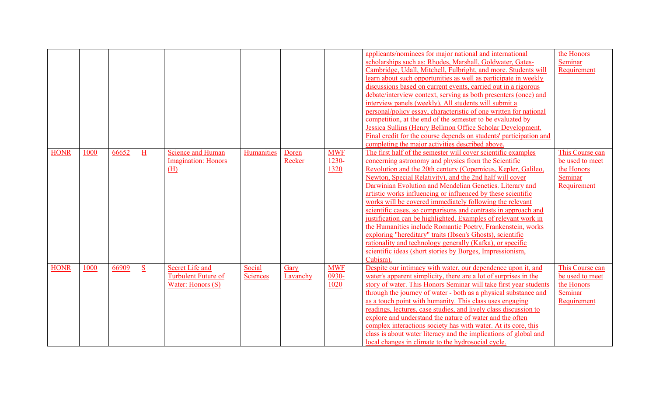|             |      |       |           |                            |            |          |            | applicants/nominees for major national and international           | the Honors      |
|-------------|------|-------|-----------|----------------------------|------------|----------|------------|--------------------------------------------------------------------|-----------------|
|             |      |       |           |                            |            |          |            | scholarships such as: Rhodes, Marshall, Goldwater, Gates-          | Seminar         |
|             |      |       |           |                            |            |          |            | Cambridge, Udall, Mitchell, Fulbright, and more. Students will     | Requirement     |
|             |      |       |           |                            |            |          |            | learn about such opportunities as well as participate in weekly    |                 |
|             |      |       |           |                            |            |          |            | discussions based on current events, carried out in a rigorous     |                 |
|             |      |       |           |                            |            |          |            | debate/interview context, serving as both presenters (once) and    |                 |
|             |      |       |           |                            |            |          |            | interview panels (weekly). All students will submit a              |                 |
|             |      |       |           |                            |            |          |            | personal/policy essay, characteristic of one written for national  |                 |
|             |      |       |           |                            |            |          |            | competition, at the end of the semester to be evaluated by         |                 |
|             |      |       |           |                            |            |          |            | Jessica Sullins (Henry Bellmon Office Scholar Development.         |                 |
|             |      |       |           |                            |            |          |            | Final credit for the course depends on students' participation and |                 |
|             |      |       |           |                            |            |          |            | completing the major activities described above.                   |                 |
| <b>HONR</b> | 1000 | 66652 | $H_{\rm}$ | <b>Science and Human</b>   | Humanities | Doren    | <b>MWF</b> | The first half of the semester will cover scientific examples      | This Course can |
|             |      |       |           | <b>Imagination:</b> Honors |            | Recker   | $1230 -$   | concerning astronomy and physics from the Scientific               | be used to meet |
|             |      |       |           | (H)                        |            |          | 1320       | Revolution and the 20th century (Copernicus, Kepler, Galileo,      | the Honors      |
|             |      |       |           |                            |            |          |            | Newton, Special Relativity), and the 2nd half will cover           | Seminar         |
|             |      |       |           |                            |            |          |            | Darwinian Evolution and Mendelian Genetics. Literary and           | Requirement     |
|             |      |       |           |                            |            |          |            | artistic works influencing or influenced by these scientific       |                 |
|             |      |       |           |                            |            |          |            | works will be covered immediately following the relevant           |                 |
|             |      |       |           |                            |            |          |            | scientific cases, so comparisons and contrasts in approach and     |                 |
|             |      |       |           |                            |            |          |            | justification can be highlighted. Examples of relevant work in     |                 |
|             |      |       |           |                            |            |          |            | the Humanities include Romantic Poetry, Frankenstein, works        |                 |
|             |      |       |           |                            |            |          |            | exploring "hereditary" traits (Ibsen's Ghosts), scientific         |                 |
|             |      |       |           |                            |            |          |            | rationality and technology generally (Kafka), or specific          |                 |
|             |      |       |           |                            |            |          |            | scientific ideas (short stories by Borges, Impressionism,          |                 |
|             |      |       |           |                            |            |          |            | Cubism).                                                           |                 |
| <b>HONR</b> | 1000 | 66909 | S         | <b>Secret Life and</b>     | Social     | Gary     | <b>MWF</b> | Despite our intimacy with water, our dependence upon it, and       | This Course can |
|             |      |       |           | Turbulent Future of        | Sciences   | Lavanchy | 0930-      | water's apparent simplicity, there are a lot of surprises in the   | be used to meet |
|             |      |       |           | Water: Honors (S)          |            |          | 1020       | story of water. This Honors Seminar will take first year students  | the Honors      |
|             |      |       |           |                            |            |          |            | through the journey of water - both as a physical substance and    | Seminar         |
|             |      |       |           |                            |            |          |            | as a touch point with humanity. This class uses engaging           | Requirement     |
|             |      |       |           |                            |            |          |            | readings, lectures, case studies, and lively class discussion to   |                 |
|             |      |       |           |                            |            |          |            | explore and understand the nature of water and the often           |                 |
|             |      |       |           |                            |            |          |            | complex interactions society has with water. At its core, this     |                 |
|             |      |       |           |                            |            |          |            | class is about water literacy and the implications of global and   |                 |
|             |      |       |           |                            |            |          |            | local changes in climate to the hydrosocial cycle.                 |                 |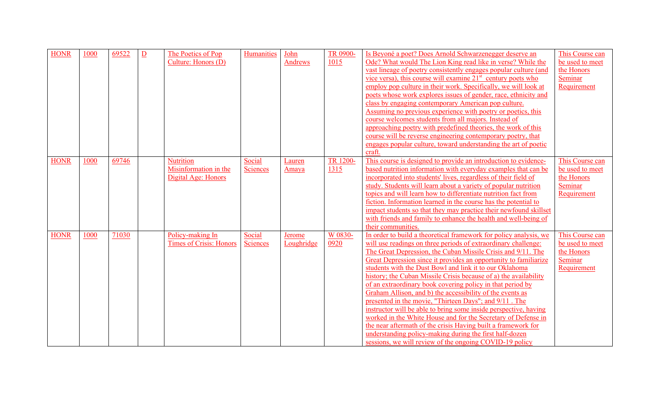| <b>HONR</b> | 1000 | 69522 | $\overline{D}$ | The Poetics of Pop<br>Culture: Honors (D)                        | <b>Humanities</b>         | John<br>Andrews             | TR 0900-<br>1015        | Is Beyoné a poet? Does Arnold Schwarzenegger deserve an<br>Ode? What would The Lion King read like in verse? While the<br>vast lineage of poetry consistently engages popular culture (and<br>vice versa), this course will examine $21st$ century poets who<br>employ pop culture in their work. Specifically, we will look at<br>poets whose work explores issues of gender, race, ethnicity and<br>class by engaging contemporary American pop culture.<br>Assuming no previous experience with poetry or poetics, this<br>course welcomes students from all majors. Instead of<br>approaching poetry with predefined theories, the work of this<br>course will be reverse engineering contemporary poetry, that<br>engages popular culture, toward understanding the art of poetic<br>craft.                                                                                                                        | This Course can<br>be used to meet<br>the Honors<br>Seminar<br>Requirement |
|-------------|------|-------|----------------|------------------------------------------------------------------|---------------------------|-----------------------------|-------------------------|-------------------------------------------------------------------------------------------------------------------------------------------------------------------------------------------------------------------------------------------------------------------------------------------------------------------------------------------------------------------------------------------------------------------------------------------------------------------------------------------------------------------------------------------------------------------------------------------------------------------------------------------------------------------------------------------------------------------------------------------------------------------------------------------------------------------------------------------------------------------------------------------------------------------------|----------------------------------------------------------------------------|
| <b>HONR</b> | 1000 | 69746 |                | <b>Nutrition</b><br>Misinformation in the<br>Digital Age: Honors | Social<br><b>Sciences</b> | <b>Lauren</b><br>Amaya      | TR 1200-<br><u>1315</u> | This course is designed to provide an introduction to evidence-<br>based nutrition information with everyday examples that can be<br>incorporated into students' lives, regardless of their field of<br>study. Students will learn about a variety of popular nutrition<br>topics and will learn how to differentiate nutrition fact from<br>fiction. Information learned in the course has the potential to<br>impact students so that they may practice their newfound skillset<br>with friends and family to enhance the health and well-being of<br>their communities.                                                                                                                                                                                                                                                                                                                                              | This Course can<br>be used to meet<br>the Honors<br>Seminar<br>Requirement |
| <b>HONR</b> | 1000 | 71030 |                | Policy-making In<br><b>Times of Crisis: Honors</b>               | Social<br>Sciences        | <b>Jerome</b><br>Loughridge | W 0830-<br>0920         | In order to build a theoretical framework for policy analysis, we<br>will use readings on three periods of extraordinary challenge:<br>The Great Depression, the Cuban Missile Crisis and 9/11. The<br>Great Depression since it provides an opportunity to familiarize<br>students with the Dust Bowl and link it to our Oklahoma<br>history; the Cuban Missile Crisis because of a) the availability<br>of an extraordinary book covering policy in that period by<br>Graham Allison, and b) the accessibility of the events as<br>presented in the movie, "Thirteen Days"; and 9/11. The<br>instructor will be able to bring some inside perspective, having<br>worked in the White House and for the Secretary of Defense in<br>the near aftermath of the crisis Having built a framework for<br>understanding policy-making during the first half-dozen<br>sessions, we will review of the ongoing COVID-19 policy | This Course can<br>be used to meet<br>the Honors<br>Seminar<br>Requirement |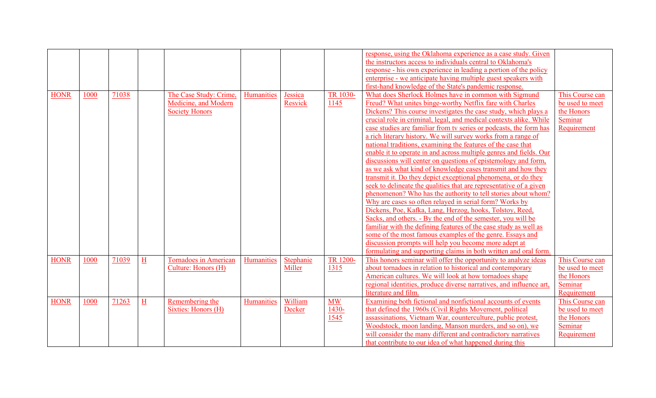| response, using the Oklahoma experience as a case study. Given                                                                                                                                                |  |
|---------------------------------------------------------------------------------------------------------------------------------------------------------------------------------------------------------------|--|
| the instructors access to individuals central to Oklahoma's                                                                                                                                                   |  |
| response - his own experience in leading a portion of the policy                                                                                                                                              |  |
| enterprise - we anticipate having multiple guest speakers with                                                                                                                                                |  |
| first-hand knowledge of the State's pandemic response.                                                                                                                                                        |  |
| What does Sherlock Holmes have in common with Sigmund<br>1000                                                                                                                                                 |  |
| <b>HONR</b><br>71038<br><b>TR 1030-</b><br>The Case Study: Crime,<br>Humanities<br>This Course can<br>Jessica                                                                                                 |  |
| be used to meet<br>Medicine, and Modern<br>Resvick<br>1145<br>Freud? What unites binge-worthy Netflix fare with Charles                                                                                       |  |
| the Honors<br><b>Society Honors</b><br>Dickens? This course investigates the case study, which plays a                                                                                                        |  |
| crucial role in criminal, legal, and medical contexts alike. While<br>Seminar                                                                                                                                 |  |
| Requirement<br>case studies are familiar from tv series or podcasts, the form has                                                                                                                             |  |
| a rich literary history. We will survey works from a range of                                                                                                                                                 |  |
| national traditions, examining the features of the case that                                                                                                                                                  |  |
| enable it to operate in and across multiple genres and fields. Our                                                                                                                                            |  |
| discussions will center on questions of epistemology and form,                                                                                                                                                |  |
| as we ask what kind of knowledge cases transmit and how they                                                                                                                                                  |  |
| transmit it. Do they depict exceptional phenomena, or do they                                                                                                                                                 |  |
| seek to delineate the qualities that are representative of a given                                                                                                                                            |  |
| phenomenon? Who has the authority to tell stories about whom?                                                                                                                                                 |  |
| Why are cases so often relayed in serial form? Works by                                                                                                                                                       |  |
| Dickens, Poe, Kafka, Lang, Herzog, hooks, Tolstoy, Reed,                                                                                                                                                      |  |
| Sacks, and others. - By the end of the semester, you will be                                                                                                                                                  |  |
| familiar with the defining features of the case study as well as                                                                                                                                              |  |
|                                                                                                                                                                                                               |  |
| some of the most famous examples of the genre. Essays and                                                                                                                                                     |  |
| discussion prompts will help you become more adept at                                                                                                                                                         |  |
| formulating and supporting claims in both written and oral form.                                                                                                                                              |  |
| <b>HONR</b><br>1000<br>71039<br><b>TR 1200-</b><br>This honors seminar will offer the opportunity to analyze ideas<br>$H_{\rm}$<br>Humanities<br>Stephanie<br><b>Tornadoes in American</b><br>This Course can |  |
| Culture: Honors (H)<br>Miller<br>1315<br>about tornadoes in relation to historical and contemporary<br>be used to meet                                                                                        |  |
| the Honors<br>American cultures. We will look at how tornadoes shape                                                                                                                                          |  |
| Seminar<br>regional identities, produce diverse narratives, and influence art,                                                                                                                                |  |
| literature and film.<br>Requirement                                                                                                                                                                           |  |
| Examining both fictional and nonfictional accounts of events<br>This Course can<br><b>HONR</b><br>1000<br>71263<br>William<br>M W<br>$H_{\parallel}$<br>Remembering the<br>Humanities                         |  |
| be used to meet<br>that defined the 1960s (Civil Rights Movement, political<br>Sixties: Honors (H)<br>$1430 -$<br>Decker                                                                                      |  |
| 1545<br>assassinations, Vietnam War, counterculture, public protest,<br>the Honors                                                                                                                            |  |
| Seminar<br>Woodstock, moon landing, Manson murders, and so on), we                                                                                                                                            |  |
| will consider the many different and contradictory narratives<br>Requirement                                                                                                                                  |  |
| that contribute to our idea of what happened during this                                                                                                                                                      |  |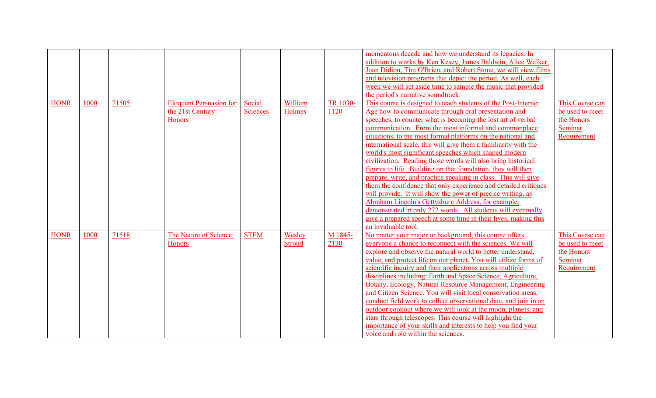|             |      |       |                                                               |                           |                   |                  | momentous decade and how we understand its legacies. In<br>addition to works by Ken Kesey, James Baldwin, Alice Walker,<br>Joan Didion, Tim O'Brien, and Robert Stone, we will view films<br>and television programs that depict the period. As well, each<br>week we will set aside time to sample the music that provided<br>the period's narrative soundtrack.                                                                                                                                                                                                                                                                                                                                                                                                                                                                                                                                                                                                                               |                                                                            |
|-------------|------|-------|---------------------------------------------------------------|---------------------------|-------------------|------------------|-------------------------------------------------------------------------------------------------------------------------------------------------------------------------------------------------------------------------------------------------------------------------------------------------------------------------------------------------------------------------------------------------------------------------------------------------------------------------------------------------------------------------------------------------------------------------------------------------------------------------------------------------------------------------------------------------------------------------------------------------------------------------------------------------------------------------------------------------------------------------------------------------------------------------------------------------------------------------------------------------|----------------------------------------------------------------------------|
| <b>HONR</b> | 1000 | 71505 | <b>Eloquent Persuasion for</b><br>the 21st Century:<br>Honors | Social<br><b>Sciences</b> | William<br>Holmes | TR 1030-<br>1120 | This course is designed to teach students of the Post-Internet<br>Age how to communicate through oral presentation and<br>speeches, to counter what is becoming the lost art of verbal<br>communication. From the most informal and commonplace<br>situations, to the most formal platforms on the national and<br>international scale, this will give them a familiarity with the<br>world's most significant speeches which shaped modern<br>civilization. Reading those words will also bring historical<br>figures to life. Building on that foundation, they will then<br>prepare, write, and practice speaking in class. This will give<br>them the confidence that only experience and detailed critiques<br>will provide. It will show the power of precise writing, as<br>Abraham Lincoln's Gettysburg Address, for example,<br>demonstrated in only 272 words. All students will eventually<br>give a prepared speech at some time in their lives, making this<br>an invaluable tool. | This Course can<br>be used to meet<br>the Honors<br>Seminar<br>Requirement |
| <b>HONR</b> | 1000 | 71518 | The Nature of Science:<br><b>Honors</b>                       | <b>STEM</b>               | Wesley<br>Stroud  | M 1845-<br>2130  | No matter your major or background, this course offers<br>everyone a chance to reconnect with the sciences. We will<br>explore and observe the natural world to better understand,<br>value, and protect life on our planet. You will utilize forms of<br>scientific inquiry and their applications across multiple<br>disciplines including: Earth and Space Science, Agriculture,<br>Botany, Ecology, Natural Resource Management, Engineering<br>and Citizen Science. You will visit local conservation areas,<br>conduct field work to collect observational data, and join in an<br>outdoor cookout where we will look at the moon, planets, and<br>stars through telescopes. This course will highlight the<br>importance of your skills and interests to help you find your<br>voice and role within the sciences.                                                                                                                                                                       | This Course can<br>be used to meet<br>the Honors<br>Seminar<br>Requirement |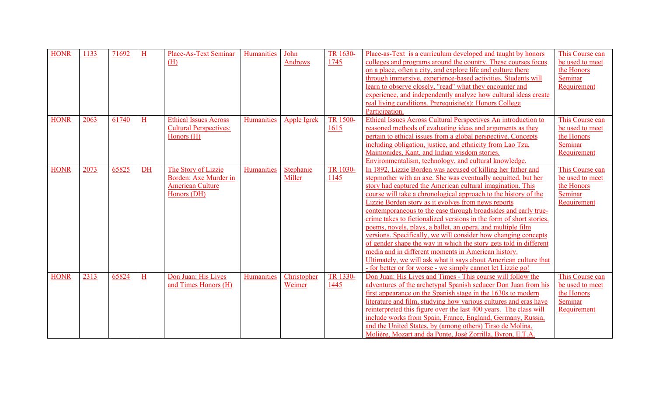| <b>HONR</b> | 1133 | 71692 | H         | <b>Place-As-Text Seminar</b><br>(H)                                                    | Humanities        | John<br><b>Andrews</b> | TR 1630-<br>1745 | Place-as-Text is a curriculum developed and taught by honors<br>colleges and programs around the country. These courses focus<br>on a place, often a city, and explore life and culture there<br>through immersive, experience-based activities. Students will<br>learn to observe closely, "read" what they encounter and<br>experience, and independently analyze how cultural ideas create<br>real living conditions. Prerequisite(s): Honors College<br>Participation.                                                                                                                                                                                                                                                                                                                                                                                     | This Course can<br>be used to meet<br>the Honors<br>Seminar<br>Requirement |
|-------------|------|-------|-----------|----------------------------------------------------------------------------------------|-------------------|------------------------|------------------|----------------------------------------------------------------------------------------------------------------------------------------------------------------------------------------------------------------------------------------------------------------------------------------------------------------------------------------------------------------------------------------------------------------------------------------------------------------------------------------------------------------------------------------------------------------------------------------------------------------------------------------------------------------------------------------------------------------------------------------------------------------------------------------------------------------------------------------------------------------|----------------------------------------------------------------------------|
| <b>HONR</b> | 2063 | 61740 | H         | <b>Ethical Issues Across</b><br><b>Cultural Perspectives:</b><br>Honors (H)            | Humanities        | Apple Igrek            | TR 1500-<br>1615 | Ethical Issues Across Cultural Perspectives An introduction to<br>reasoned methods of evaluating ideas and arguments as they<br>pertain to ethical issues from a global perspective. Concepts<br>including obligation, justice, and ethnicity from Lao Tzu,<br>Maimonides, Kant, and Indian wisdom stories.<br>Environmentalism, technology, and cultural knowledge.                                                                                                                                                                                                                                                                                                                                                                                                                                                                                           | This Course can<br>be used to meet<br>the Honors<br>Seminar<br>Requirement |
| <b>HONR</b> | 2073 | 65825 | <b>DH</b> | The Story of Lizzie<br>Borden: Axe Murder in<br><b>American Culture</b><br>Honors (DH) | <b>Humanities</b> | Stephanie<br>Miller    | TR 1030-<br>1145 | In 1892, Lizzie Borden was accused of killing her father and<br>stepmother with an axe. She was eventually acquitted, but her<br>story had captured the American cultural imagination. This<br>course will take a chronological approach to the history of the<br>Lizzie Borden story as it evolves from news reports<br>contemporaneous to the case through broadsides and early true-<br>crime takes to fictionalized versions in the form of short stories,<br>poems, novels, plays, a ballet, an opera, and multiple film<br>versions. Specifically, we will consider how changing concepts<br>of gender shape the way in which the story gets told in different<br>media and in different moments in American history.<br>Ultimately, we will ask what it says about American culture that<br>- for better or for worse - we simply cannot let Lizzie go! | This Course can<br>be used to meet<br>the Honors<br>Seminar<br>Requirement |
| <b>HONR</b> | 2313 | 65824 | H         | Don Juan: His Lives<br>and Times Honors (H)                                            | Humanities        | Christopher<br>Weimer  | TR 1330-<br>1445 | Don Juan: His Lives and Times - This course will follow the<br>adventures of the archetypal Spanish seducer Don Juan from his<br>first appearance on the Spanish stage in the 1630s to modern<br>literature and film, studying how various cultures and eras have<br>reinterpreted this figure over the last 400 years. The class will<br>include works from Spain, France, England, Germany, Russia,<br>and the United States, by (among others) Tirso de Molina,<br>Molière, Mozart and da Ponte, José Zorrilla, Byron, E.T.A.                                                                                                                                                                                                                                                                                                                               | This Course can<br>be used to meet<br>the Honors<br>Seminar<br>Requirement |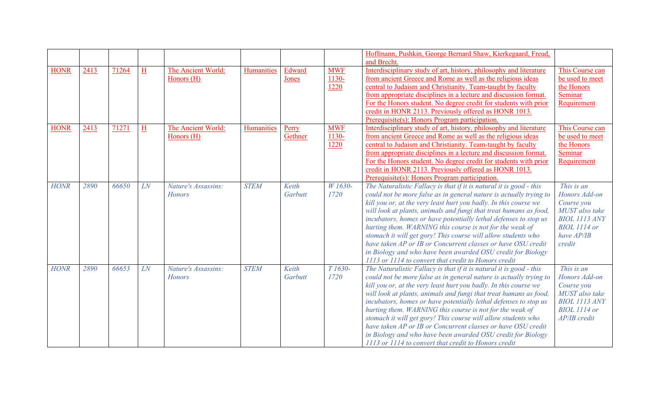|             |      |       |                         |                                      |             |                  |                                | Hoffmann, Pushkin, George Bernard Shaw, Kierkegaard, Freud,<br>and Brecht.                                                                                                                                                                                                                                                                                                                                                                                                                                                                                                                                                                                                 |                                                                                                                                    |
|-------------|------|-------|-------------------------|--------------------------------------|-------------|------------------|--------------------------------|----------------------------------------------------------------------------------------------------------------------------------------------------------------------------------------------------------------------------------------------------------------------------------------------------------------------------------------------------------------------------------------------------------------------------------------------------------------------------------------------------------------------------------------------------------------------------------------------------------------------------------------------------------------------------|------------------------------------------------------------------------------------------------------------------------------------|
| <b>HONR</b> | 2413 | 71264 | $H_{\rm}$               | The Ancient World:<br>Honors (H)     | Humanities  | Edward<br>Jones  | <b>MWF</b><br>$1130 -$<br>1220 | Interdisciplinary study of art, history, philosophy and literature<br>from ancient Greece and Rome as well as the religious ideas<br>central to Judaism and Christianity. Team-taught by faculty<br>from appropriate disciplines in a lecture and discussion format.<br>For the Honors student. No degree credit for students with prior<br>credit in HONR 2113. Previously offered as HONR 1013.<br>Prerequisite(s): Honors Program participation.                                                                                                                                                                                                                        | This Course can<br>be used to meet<br>the Honors<br>Seminar<br>Requirement                                                         |
| <b>HONR</b> | 2413 | 71271 | $\overline{\mathrm{H}}$ | The Ancient World:<br>Honors (H)     | Humanities  | Perry<br>Gethner | <b>MWF</b><br>$1130 -$<br>1220 | Interdisciplinary study of art, history, philosophy and literature<br>from ancient Greece and Rome as well as the religious ideas<br>central to Judaism and Christianity. Team-taught by faculty<br>from appropriate disciplines in a lecture and discussion format.<br>For the Honors student. No degree credit for students with prior<br>credit in HONR 2113. Previously offered as HONR 1013.<br>Prerequisite(s): Honors Program participation.                                                                                                                                                                                                                        | This Course can<br>be used to meet<br>the Honors<br>Seminar<br>Requirement                                                         |
| <b>HONR</b> | 2890 | 66650 | LN                      | Nature's Assassins:<br><b>Honors</b> | <b>STEM</b> | Keith<br>Garbutt | W 1630-<br>1720                | The Naturalistic Fallacy is that if it is natural it is good - this<br>could not be more false as in general nature is actually trying to<br>kill you or, at the very least hurt you badly. In this course we<br>will look at plants, animals and fungi that treat humans as food,<br>incubators, homes or have potentially lethal defenses to stop us<br>hurting them. WARNING this course is not for the weak of<br>stomach it will get gory! This course will allow students who<br>have taken AP or IB or Concurrent classes or have OSU credit<br>in Biology and who have been awarded OSU credit for Biology<br>1113 or 1114 to convert that credit to Honors credit | This is an<br>Honors Add-on<br>Course you<br>MUST also take<br><b>BIOL 1113 ANY</b><br><b>BIOL</b> 1114 or<br>have AP/IB<br>credit |
| <b>HONR</b> | 2890 | 66653 | LN                      | Nature's Assassins:<br><b>Honors</b> | <b>STEM</b> | Keith<br>Garbutt | T 1630-<br>1720                | The Naturalistic Fallacy is that if it is natural it is good - this<br>could not be more false as in general nature is actually trying to<br>kill you or, at the very least hurt you badly. In this course we<br>will look at plants, animals and fungi that treat humans as food,<br>incubators, homes or have potentially lethal defenses to stop us<br>hurting them. WARNING this course is not for the weak of<br>stomach it will get gory! This course will allow students who<br>have taken AP or IB or Concurrent classes or have OSU credit<br>in Biology and who have been awarded OSU credit for Biology<br>1113 or 1114 to convert that credit to Honors credit | This is an<br>Honors Add-on<br>Course you<br>MUST also take<br><b>BIOL 1113 ANY</b><br><b>BIOL</b> 1114 or<br>AP/IB credit         |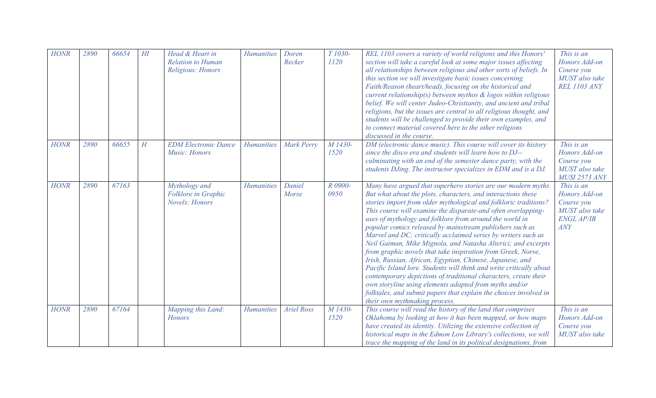| <b>HONR</b> | 2890 | 66654 | $H\!I$    | Head & Heart in<br><b>Relation to Human</b><br>Religious: Honors | <b>Humanities</b> | Doren<br>Recker   | T <sub>1030</sub> -<br>1120 | REL 1103 covers a variety of world religions and this Honors'<br>section will take a careful look at some major issues affecting<br>all relationships between religious and other sorts of beliefs. In<br>this section we will investigate basic issues concerning<br>Faith/Reason (heart/head), focusing on the historical and<br>current relationship(s) between mythos $\&$ logos within religious<br>belief. We will center Judeo-Christianity, and ancient and tribal<br>religions, but the issues are central to all religious thought, and<br>students will be challenged to provide their own examples, and<br>to connect material covered here to the other religions<br>discussed in the course.                                                                                                                                                                                                                                                         | This is an<br>Honors Add-on<br>Course you<br>MUST also take<br><b>REL 1103 ANY</b>      |
|-------------|------|-------|-----------|------------------------------------------------------------------|-------------------|-------------------|-----------------------------|--------------------------------------------------------------------------------------------------------------------------------------------------------------------------------------------------------------------------------------------------------------------------------------------------------------------------------------------------------------------------------------------------------------------------------------------------------------------------------------------------------------------------------------------------------------------------------------------------------------------------------------------------------------------------------------------------------------------------------------------------------------------------------------------------------------------------------------------------------------------------------------------------------------------------------------------------------------------|-----------------------------------------------------------------------------------------|
| <b>HONR</b> | 2890 | 66655 | $H_{\rm}$ | <b>EDM Electronic Dance</b><br>Music: Honors                     | <b>Humanities</b> | Mark Perry        | M 1430-<br>1520             | DM (electronic dance music). This course will cover its history<br>since the disco era and students will learn how to DJ--<br>culminating with an end of the semester dance party, with the<br>students DJing. The instructor specializes in EDM and is a DJ.                                                                                                                                                                                                                                                                                                                                                                                                                                                                                                                                                                                                                                                                                                      | This is an<br>Honors Add-on<br>Course you<br>MUST also take<br><b>MUSI 2573 ANY</b>     |
| <b>HONR</b> | 2890 | 67163 |           | Mythology and<br>Folklore in Graphic<br><b>Novels: Honors</b>    | <b>Humanities</b> | Daniel<br>Morse   | R 0900-<br>0950             | Many have argued that superhero stories are our modern myths.<br>But what about the plots, characters, and interactions these<br>stories import from older mythological and folkloric traditions?<br>This course will examine the disparate-and often overlapping-<br>uses of mythology and folklore from around the world in<br>popular comics released by mainstream publishers such as<br>Marvel and DC; critically acclaimed series by writers such as<br>Neil Gaiman, Mike Mignola, and Natasha Alterici; and excerpts<br>from graphic novels that take inspiration from Greek, Norse,<br>Irish, Russian, African, Egyptian, Chinese, Japanese, and<br>Pacific Island lore. Students will think and write critically about<br>contemporary depictions of traditional characters, create their<br>own storyline using elements adapted from myths and/or<br>folktales, and submit papers that explain the choices involved in<br>their own mythmaking process. | This is an<br>Honors Add-on<br>Course you<br>MUST also take<br><b>ENGL AP/IB</b><br>ANY |
| <b>HONR</b> | 2890 | 67164 |           | Mapping this Land:<br><b>Honors</b>                              | <b>Humanities</b> | <b>Ariel Ross</b> | M 1430-<br>1520             | This course will read the history of the land that comprises<br>Oklahoma by looking at how it has been mapped, or how maps<br>have created its identity. Utilizing the extensive collection of<br>historical maps in the Edmon Low Library's collections, we will<br>trace the mapping of the land in its political designations, from                                                                                                                                                                                                                                                                                                                                                                                                                                                                                                                                                                                                                             | This is an<br>Honors Add-on<br>Course you<br>MUST also take                             |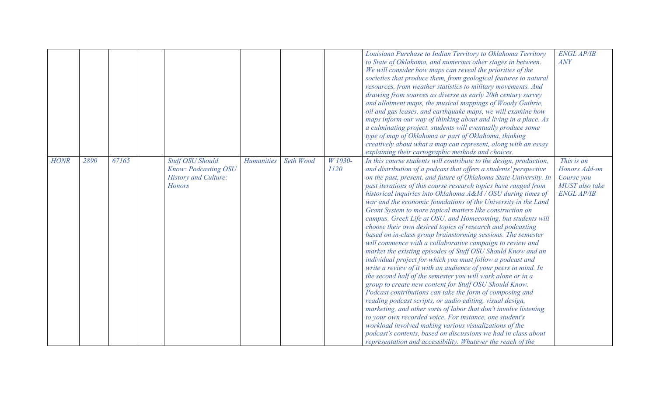|             |      |       |                                                                                                 |                   |           |                 | Louisiana Purchase to Indian Territory to Oklahoma Territory<br>to State of Oklahoma, and numerous other stages in between.<br>We will consider how maps can reveal the priorities of the<br>societies that produce them, from geological features to natural<br>resources, from weather statistics to military movements. And<br>drawing from sources as diverse as early 20th century survey<br>and allotment maps, the musical mappings of Woody Guthrie,<br>oil and gas leases, and earthquake maps, we will examine how<br>maps inform our way of thinking about and living in a place. As<br>a culminating project, students will eventually produce some<br>type of map of Oklahoma or part of Oklahoma, thinking<br>creatively about what a map can represent, along with an essay<br>explaining their cartographic methods and choices.                                                                                                                                                                                                                                                                                                                                                                                                                                                                                                                                                                                                                                                                       | <b>ENGL AP/IB</b><br>ANY                                                         |
|-------------|------|-------|-------------------------------------------------------------------------------------------------|-------------------|-----------|-----------------|------------------------------------------------------------------------------------------------------------------------------------------------------------------------------------------------------------------------------------------------------------------------------------------------------------------------------------------------------------------------------------------------------------------------------------------------------------------------------------------------------------------------------------------------------------------------------------------------------------------------------------------------------------------------------------------------------------------------------------------------------------------------------------------------------------------------------------------------------------------------------------------------------------------------------------------------------------------------------------------------------------------------------------------------------------------------------------------------------------------------------------------------------------------------------------------------------------------------------------------------------------------------------------------------------------------------------------------------------------------------------------------------------------------------------------------------------------------------------------------------------------------------|----------------------------------------------------------------------------------|
| <b>HONR</b> | 2890 | 67165 | <b>Stuff OSU Should</b><br>Know: Podcasting OSU<br><b>History and Culture:</b><br><b>Honors</b> | <b>Humanities</b> | Seth Wood | W 1030-<br>1120 | In this course students will contribute to the design, production,<br>and distribution of a podcast that offers a students' perspective<br>on the past, present, and future of Oklahoma State University. In<br>past iterations of this course research topics have ranged from<br>historical inquiries into Oklahoma A&M / OSU during times of<br>war and the economic foundations of the University in the Land<br>Grant System to more topical matters like construction on<br>campus, Greek Life at OSU, and Homecoming, but students will<br>choose their own desired topics of research and podcasting<br>based on in-class group brainstorming sessions. The semester<br>will commence with a collaborative campaign to review and<br>market the existing episodes of Stuff OSU Should Know and an<br>individual project for which you must follow a podcast and<br>write a review of it with an audience of your peers in mind. In<br>the second half of the semester you will work alone or in a<br>group to create new content for Stuff OSU Should Know.<br>Podcast contributions can take the form of composing and<br>reading podcast scripts, or audio editing, visual design,<br>marketing, and other sorts of labor that don't involve listening<br>to your own recorded voice. For instance, one student's<br>workload involved making various visualizations of the<br>podcast's contents, based on discussions we had in class about<br>representation and accessibility. Whatever the reach of the | This is an<br>Honors Add-on<br>Course you<br>MUST also take<br><b>ENGL AP/IB</b> |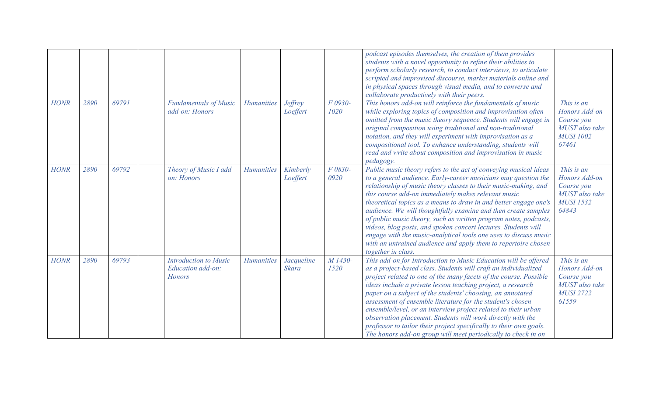|             |      |       |                                                                    |                   |                            |                 | podcast episodes themselves, the creation of them provides<br>students with a novel opportunity to refine their abilities to<br>perform scholarly research, to conduct interviews, to articulate<br>scripted and improvised discourse, market materials online and<br>in physical spaces through visual media, and to converse and<br>collaborate productively with their peers.                                                                                                                                                                                                                                                                                                                     |                                                                                          |
|-------------|------|-------|--------------------------------------------------------------------|-------------------|----------------------------|-----------------|------------------------------------------------------------------------------------------------------------------------------------------------------------------------------------------------------------------------------------------------------------------------------------------------------------------------------------------------------------------------------------------------------------------------------------------------------------------------------------------------------------------------------------------------------------------------------------------------------------------------------------------------------------------------------------------------------|------------------------------------------------------------------------------------------|
| <b>HONR</b> | 2890 | 69791 | <b>Fundamentals of Music</b><br>add-on: Honors                     | <b>Humanities</b> | <b>Jeffrey</b><br>Loeffert | F 0930-<br>1020 | This honors add-on will reinforce the fundamentals of music<br>while exploring topics of composition and improvisation often<br>omitted from the music theory sequence. Students will engage in<br>original composition using traditional and non-traditional<br>notation, and they will experiment with improvisation as a<br>compositional tool. To enhance understanding, students will<br>read and write about composition and improvisation in music<br>pedagogy.                                                                                                                                                                                                                               | This is an<br>Honors Add-on<br>Course you<br>MUST also take<br><b>MUSI 1002</b><br>67461 |
| <b>HONR</b> | 2890 | 69792 | Theory of Music I add<br>on: Honors                                | <b>Humanities</b> | Kimberly<br>Loeffert       | F 0830-<br>0920 | Public music theory refers to the act of conveying musical ideas<br>to a general audience. Early-career musicians may question the<br>relationship of music theory classes to their music-making, and<br>this course add-on immediately makes relevant music<br>theoretical topics as a means to draw in and better engage one's<br>audience. We will thoughtfully examine and then create samples<br>of public music theory, such as written program notes, podcasts,<br>videos, blog posts, and spoken concert lectures. Students will<br>engage with the music-analytical tools one uses to discuss music<br>with an untrained audience and apply them to repertoire chosen<br>together in class. | This is an<br>Honors Add-on<br>Course you<br>MUST also take<br><b>MUSI 1532</b><br>64843 |
| <b>HONR</b> | 2890 | 69793 | <b>Introduction to Music</b><br>Education add-on:<br><b>Honors</b> | <b>Humanities</b> | Jacqueline<br><b>Skara</b> | M 1430-<br>1520 | This add-on for Introduction to Music Education will be offered<br>as a project-based class. Students will craft an individualized<br>project related to one of the many facets of the course. Possible<br>ideas include a private lesson teaching project, a research<br>paper on a subject of the students' choosing, an annotated<br>assessment of ensemble literature for the student's chosen<br>ensemble/level, or an interview project related to their urban<br>observation placement. Students will work directly with the<br>professor to tailor their project specifically to their own goals.<br>The honors add-on group will meet periodically to check in on                           | This is an<br>Honors Add-on<br>Course you<br>MUST also take<br><b>MUSI 2722</b><br>61559 |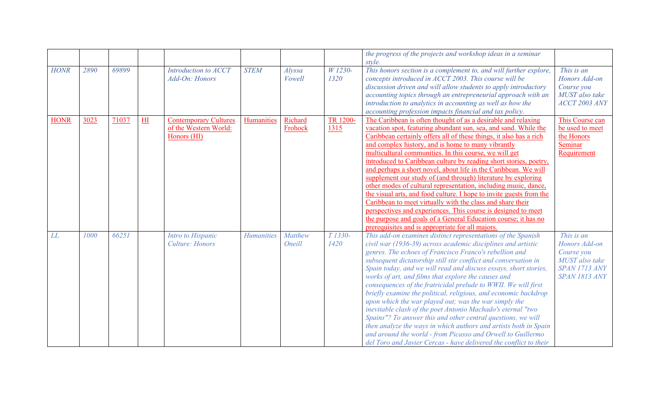|             |      |       |                |                                                                      |                   |                          |                  | the progress of the projects and workshop ideas in a seminar<br>style.                                                                                                                                                                                                                                                                                                                                                                                                                                                                                                                                                                                                                                                                                                                                                                                                                                                         |                                                                                                      |
|-------------|------|-------|----------------|----------------------------------------------------------------------|-------------------|--------------------------|------------------|--------------------------------------------------------------------------------------------------------------------------------------------------------------------------------------------------------------------------------------------------------------------------------------------------------------------------------------------------------------------------------------------------------------------------------------------------------------------------------------------------------------------------------------------------------------------------------------------------------------------------------------------------------------------------------------------------------------------------------------------------------------------------------------------------------------------------------------------------------------------------------------------------------------------------------|------------------------------------------------------------------------------------------------------|
| <b>HONR</b> | 2890 | 69899 |                | Introduction to ACCT<br>Add-On: Honors                               | <b>STEM</b>       | Alyssa<br>Vowell         | W 1230-<br>1320  | This honors section is a complement to, and will further explore,<br>concepts introduced in ACCT 2003. This course will be<br>discussion driven and will allow students to apply introductory<br>accounting topics through an entrepreneurial approach with an<br>introduction to analytics in accounting as well as how the<br>accounting profession impacts financial and tax policy.                                                                                                                                                                                                                                                                                                                                                                                                                                                                                                                                        | This is an<br>Honors Add-on<br>Course you<br>MUST also take<br>$ACCT$ 2003 ANY                       |
| <b>HONR</b> | 3023 | 71037 | H <sub>I</sub> | <b>Contemporary Cultures</b><br>of the Western World:<br>Honors (HI) | Humanities        | Richard<br>Frohock       | TR 1200-<br>1315 | The Caribbean is often thought of as a desirable and relaxing<br>vacation spot, featuring abundant sun, sea, and sand. While the<br>Caribbean certainly offers all of these things, it also has a rich<br>and complex history, and is home to many vibrantly<br>multicultural communities. In this course, we will get<br>introduced to Caribbean culture by reading short stories, poetry,<br>and perhaps a short novel, about life in the Caribbean. We will<br>supplement our study of (and through) literature by exploring<br>other modes of cultural representation, including music, dance,<br>the visual arts, and food culture. I hope to invite guests from the<br>Caribbean to meet virtually with the class and share their<br>perspectives and experiences. This course is designed to meet<br>the purpose and goals of a General Education course; it has no<br>prerequisites and is appropriate for all majors. | This Course can<br>be used to meet<br>the Honors<br>Seminar<br>Requirement                           |
| LL          | 1000 | 66251 |                | Intro to Hispanic<br><b>Culture: Honors</b>                          | <b>Humanities</b> | <b>Matthew</b><br>Oneill | T 1330-<br>1420  | This add-on examines distinct representations of the Spanish<br>civil war (1936-39) across academic disciplines and artistic<br>genres. The echoes of Francisco Franco's rebellion and<br>subsequent dictatorship still stir conflict and conversation in<br>Spain today, and we will read and discuss essays, short stories,<br>works of art, and films that explore the causes and<br>consequences of the fratricidal prelude to WWII. We will first<br>briefly examine the political, religious, and economic backdrop<br>upon which the war played out; was the war simply the<br>inevitable clash of the poet Antonio Machado's eternal "two<br>Spains"? To answer this and other central questions, we will<br>then analyze the ways in which authors and artists both in Spain<br>and around the world - from Picasso and Orwell to Guillermo<br>del Toro and Javier Cercas - have delivered the conflict to their      | This is an<br>Honors Add-on<br>Course you<br>MUST also take<br>SPAN 1713 ANY<br><b>SPAN 1813 ANY</b> |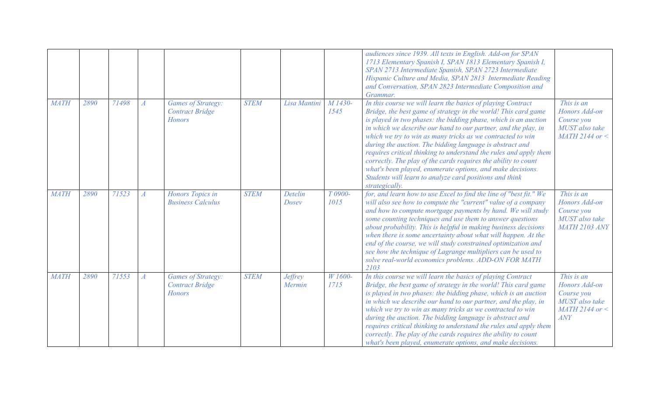|             |      |       |                  |                                                                      |             |                          |                 | audiences since 1939. All texts in English. Add-on for SPAN<br>1713 Elementary Spanish I, SPAN 1813 Elementary Spanish I,<br>SPAN 2713 Intermediate Spanish, SPAN 2723 Intermediate<br>Hispanic Culture and Media, SPAN 2813 Intermediate Reading<br>and Conversation, SPAN 2823 Intermediate Composition and<br>Grammar.                                                                                                                                                                                                                                                                                                                                                      |                                                                                            |
|-------------|------|-------|------------------|----------------------------------------------------------------------|-------------|--------------------------|-----------------|--------------------------------------------------------------------------------------------------------------------------------------------------------------------------------------------------------------------------------------------------------------------------------------------------------------------------------------------------------------------------------------------------------------------------------------------------------------------------------------------------------------------------------------------------------------------------------------------------------------------------------------------------------------------------------|--------------------------------------------------------------------------------------------|
| <b>MATH</b> | 2890 | 71498 | $\boldsymbol{A}$ | <b>Games of Strategy:</b><br><b>Contract Bridge</b><br><b>Honors</b> | <b>STEM</b> | Lisa Mantini             | M 1430-<br>1545 | In this course we will learn the basics of playing Contract<br>Bridge, the best game of strategy in the world! This card game<br>is played in two phases: the bidding phase, which is an auction<br>in which we describe our hand to our partner, and the play, in<br>which we try to win as many tricks as we contracted to win<br>during the auction. The bidding language is abstract and<br>requires critical thinking to understand the rules and apply them<br>correctly. The play of the cards requires the ability to count<br>what's been played, enumerate options, and make decisions.<br>Students will learn to analyze card positions and think<br>strategically. | This is an<br>Honors Add-on<br>Course you<br>MUST also take<br>$MATH$ 2144 or $\lt$        |
| <b>MATH</b> | 2890 | 71523 | $\boldsymbol{A}$ | Honors Topics in<br><b>Business Calculus</b>                         | <b>STEM</b> | Detelin<br>Dosey         | T 0900-<br>1015 | for, and learn how to use Excel to find the line of "best fit." We<br>will also see how to compute the "current" value of a company<br>and how to compute mortgage payments by hand. We will study<br>some counting techniques and use them to answer questions<br>about probability. This is helpful in making business decisions<br>when there is some uncertainty about what will happen. At the<br>end of the course, we will study constrained optimization and<br>see how the technique of Lagrange multipliers can be used to<br>solve real-world economics problems. ADD-ON FOR MATH<br>2103                                                                           | This is an<br>Honors Add-on<br>Course you<br>MUST also take<br><b>MATH 2103 ANY</b>        |
| <b>MATH</b> | 2890 | 71553 | $\boldsymbol{A}$ | <b>Games of Strategy:</b><br><b>Contract Bridge</b><br><b>Honors</b> | <b>STEM</b> | <b>Jeffrey</b><br>Mermin | W 1600-<br>1715 | In this course we will learn the basics of playing Contract<br>Bridge, the best game of strategy in the world! This card game<br>is played in two phases: the bidding phase, which is an auction<br>in which we describe our hand to our partner, and the play, in<br>which we try to win as many tricks as we contracted to win<br>during the auction. The bidding language is abstract and<br>requires critical thinking to understand the rules and apply them<br>correctly. The play of the cards requires the ability to count<br>what's been played, enumerate options, and make decisions.                                                                              | This is an<br>Honors Add-on<br>Course you<br>MUST also take<br>$MATH$ 2144 or $\lt$<br>ANY |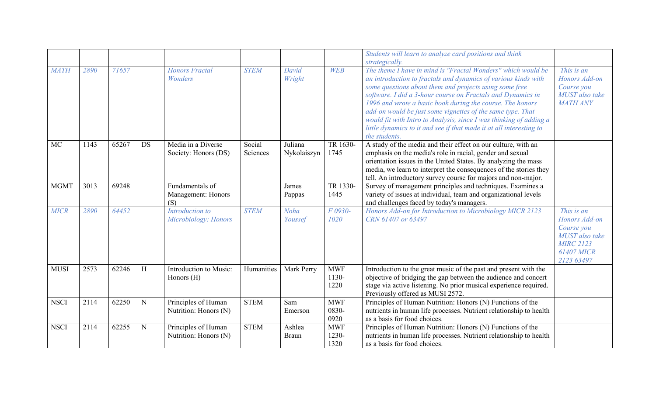|             |      |       |           |                                              |                    |                        |                             | Students will learn to analyze card positions and think<br>strategically.                                                                                                                                                                                                                                                                                                                                                                                                                                                                        |                                                                                                                    |
|-------------|------|-------|-----------|----------------------------------------------|--------------------|------------------------|-----------------------------|--------------------------------------------------------------------------------------------------------------------------------------------------------------------------------------------------------------------------------------------------------------------------------------------------------------------------------------------------------------------------------------------------------------------------------------------------------------------------------------------------------------------------------------------------|--------------------------------------------------------------------------------------------------------------------|
| <b>MATH</b> | 2890 | 71657 |           | <b>Honors Fractal</b><br>Wonders             | <b>STEM</b>        | David<br>Wright        | <b>WEB</b>                  | The theme I have in mind is "Fractal Wonders" which would be<br>an introduction to fractals and dynamics of various kinds with<br>some questions about them and projects using some free<br>software. I did a 3-hour course on Fractals and Dynamics in<br>1996 and wrote a basic book during the course. The honors<br>add-on would be just some vignettes of the same type. That<br>would fit with Intro to Analysis, since I was thinking of adding a<br>little dynamics to it and see if that made it at all interesting to<br>the students. | This is an<br>Honors Add-on<br>Course you<br>MUST also take<br><b>MATH ANY</b>                                     |
| <b>MC</b>   | 1143 | 65267 | <b>DS</b> | Media in a Diverse<br>Society: Honors (DS)   | Social<br>Sciences | Juliana<br>Nykolaiszyn | TR 1630-<br>1745            | A study of the media and their effect on our culture, with an<br>emphasis on the media's role in racial, gender and sexual<br>orientation issues in the United States. By analyzing the mass<br>media, we learn to interpret the consequences of the stories they<br>tell. An introductory survey course for majors and non-major.                                                                                                                                                                                                               |                                                                                                                    |
| <b>MGMT</b> | 3013 | 69248 |           | Fundamentals of<br>Management: Honors<br>(S) |                    | James<br>Pappas        | TR 1330-<br>1445            | Survey of management principles and techniques. Examines a<br>variety of issues at individual, team and organizational levels<br>and challenges faced by today's managers.                                                                                                                                                                                                                                                                                                                                                                       |                                                                                                                    |
| <b>MICR</b> | 2890 | 64452 |           | Introduction to<br>Microbiology: Honors      | <b>STEM</b>        | Noha<br>Youssef        | F 0930-<br>1020             | Honors Add-on for Introduction to Microbiology MICR 2123<br>CRN 61407 or 63497                                                                                                                                                                                                                                                                                                                                                                                                                                                                   | This is an<br>Honors Add-on<br>Course you<br>MUST also take<br><b>MIRC 2123</b><br><b>61407 MICR</b><br>2123 63497 |
| <b>MUSI</b> | 2573 | 62246 | H         | Introduction to Music:<br>Honors (H)         | Humanities         | Mark Perry             | <b>MWF</b><br>1130-<br>1220 | Introduction to the great music of the past and present with the<br>objective of bridging the gap between the audience and concert<br>stage via active listening. No prior musical experience required.<br>Previously offered as MUSI 2572.                                                                                                                                                                                                                                                                                                      |                                                                                                                    |
| <b>NSCI</b> | 2114 | 62250 | N         | Principles of Human<br>Nutrition: Honors (N) | <b>STEM</b>        | Sam<br>Emerson         | <b>MWF</b><br>0830-<br>0920 | Principles of Human Nutrition: Honors (N) Functions of the<br>nutrients in human life processes. Nutrient relationship to health<br>as a basis for food choices.                                                                                                                                                                                                                                                                                                                                                                                 |                                                                                                                    |
| <b>NSCI</b> | 2114 | 62255 | N         | Principles of Human<br>Nutrition: Honors (N) | <b>STEM</b>        | Ashlea<br><b>Braun</b> | <b>MWF</b><br>1230-<br>1320 | Principles of Human Nutrition: Honors (N) Functions of the<br>nutrients in human life processes. Nutrient relationship to health<br>as a basis for food choices.                                                                                                                                                                                                                                                                                                                                                                                 |                                                                                                                    |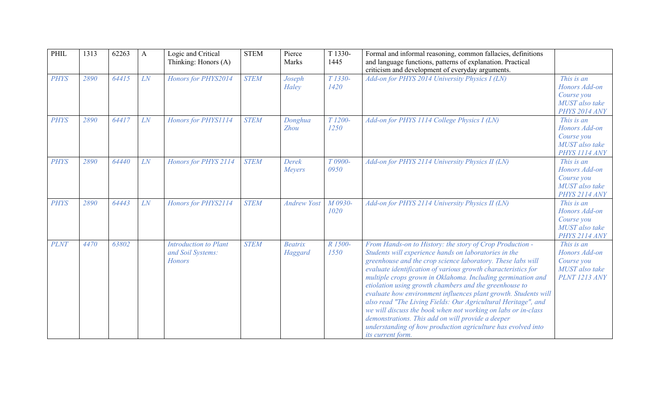| PHIL        | 1313 | 62263 | $\mathbf{A}$ | Logic and Critical<br>Thinking: Honors (A)                         | <b>STEM</b> | Pierce<br>Marks           | T 1330-<br>1445             | Formal and informal reasoning, common fallacies, definitions<br>and language functions, patterns of explanation. Practical<br>criticism and development of everyday arguments.                                                                                                                                                                                                                                                                                                                                                                                                                                                                                                                                            |                                                                                     |
|-------------|------|-------|--------------|--------------------------------------------------------------------|-------------|---------------------------|-----------------------------|---------------------------------------------------------------------------------------------------------------------------------------------------------------------------------------------------------------------------------------------------------------------------------------------------------------------------------------------------------------------------------------------------------------------------------------------------------------------------------------------------------------------------------------------------------------------------------------------------------------------------------------------------------------------------------------------------------------------------|-------------------------------------------------------------------------------------|
| <b>PHYS</b> | 2890 | 64415 | LN           | Honors for PHYS2014                                                | <b>STEM</b> | Joseph<br>Haley           | T 1330-<br>1420             | Add-on for PHYS 2014 University Physics I (LN)                                                                                                                                                                                                                                                                                                                                                                                                                                                                                                                                                                                                                                                                            | This is an<br>Honors Add-on<br>Course you<br>MUST also take<br>PHYS 2014 ANY        |
| <b>PHYS</b> | 2890 | 64417 | LN           | Honors for PHYS1114                                                | <b>STEM</b> | Donghua<br><b>Zhou</b>    | T <sub>1200</sub> -<br>1250 | Add-on for PHYS 1114 College Physics I (LN)                                                                                                                                                                                                                                                                                                                                                                                                                                                                                                                                                                                                                                                                               | This is an<br>Honors Add-on<br>Course you<br>MUST also take<br>PHYS 1114 ANY        |
| <b>PHYS</b> | 2890 | 64440 | LN           | Honors for PHYS 2114                                               | <b>STEM</b> | Derek<br>Meyers           | T 0900-<br>0950             | Add-on for PHYS 2114 University Physics II (LN)                                                                                                                                                                                                                                                                                                                                                                                                                                                                                                                                                                                                                                                                           | This is an<br>Honors Add-on<br>Course you<br>MUST also take<br>PHYS 2114 ANY        |
| <b>PHYS</b> | 2890 | 64443 | LN           | Honors for PHYS2114                                                | <b>STEM</b> | <b>Andrew Yost</b>        | M 0930-<br>1020             | Add-on for PHYS 2114 University Physics II (LN)                                                                                                                                                                                                                                                                                                                                                                                                                                                                                                                                                                                                                                                                           | This is an<br>Honors Add-on<br>Course you<br>MUST also take<br>PHYS 2114 ANY        |
| <b>PLNT</b> | 4470 | 63802 |              | <b>Introduction to Plant</b><br>and Soil Systems:<br><b>Honors</b> | <b>STEM</b> | <b>Beatrix</b><br>Haggard | R 1500-<br>1550             | From Hands-on to History: the story of Crop Production -<br>Students will experience hands on laboratories in the<br>greenhouse and the crop science laboratory. These labs will<br>evaluate identification of various growth characteristics for<br>multiple crops grown in Oklahoma. Including germination and<br>etiolation using growth chambers and the greenhouse to<br>evaluate how environment influences plant growth. Students will<br>also read "The Living Fields: Our Agricultural Heritage", and<br>we will discuss the book when not working on labs or in-class<br>demonstrations. This add on will provide a deeper<br>understanding of how production agriculture has evolved into<br>its current form. | This is an<br>Honors Add-on<br>Course you<br>MUST also take<br><b>PLNT 1213 ANY</b> |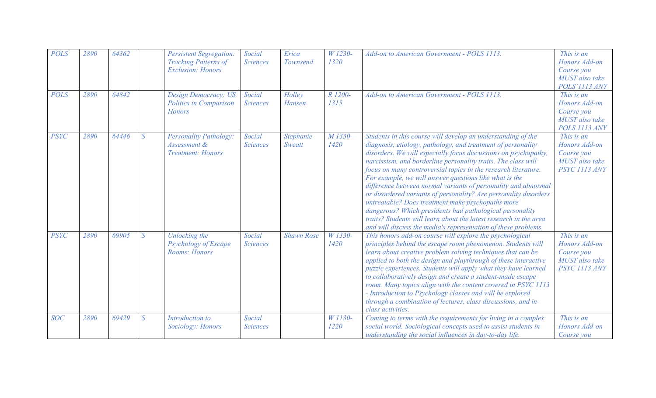| <b>POLS</b> | 2890 | 64362 |                 | <b>Persistent Segregation:</b><br><b>Tracking Patterns of</b><br><b>Exclusion: Honors</b> | Social<br><b>Sciences</b> | Erica<br>Townsend   | W 1230-<br>1320 | Add-on to American Government - POLS 1113.                                                                                                                                                                                                                                                                                                                                                                                                                                                                                                                                                                                                                                                                                                                                                 | This is an<br>Honors Add-on<br>Course you<br>MUST also take<br>POLS'1113 ANY |
|-------------|------|-------|-----------------|-------------------------------------------------------------------------------------------|---------------------------|---------------------|-----------------|--------------------------------------------------------------------------------------------------------------------------------------------------------------------------------------------------------------------------------------------------------------------------------------------------------------------------------------------------------------------------------------------------------------------------------------------------------------------------------------------------------------------------------------------------------------------------------------------------------------------------------------------------------------------------------------------------------------------------------------------------------------------------------------------|------------------------------------------------------------------------------|
| <b>POLS</b> | 2890 | 64842 |                 | <b>Design Democracy: US</b><br><b>Politics in Comparison</b><br><b>Honors</b>             | Social<br><b>Sciences</b> | Holley<br>Hansen    | R 1200-<br>1315 | Add-on to American Government - POLS 1113.                                                                                                                                                                                                                                                                                                                                                                                                                                                                                                                                                                                                                                                                                                                                                 | This is an<br>Honors Add-on<br>Course you<br>MUST also take<br>POLS 1113 ANY |
| <b>PSYC</b> | 2890 | 64446 | $\overline{S}$  | <b>Personality Pathology:</b><br>Assessment &<br><b>Treatment: Honors</b>                 | Social<br><b>Sciences</b> | Stephanie<br>Sweatt | M 1330-<br>1420 | Students in this course will develop an understanding of the<br>diagnosis, etiology, pathology, and treatment of personality<br>disorders. We will especially focus discussions on psychopathy,<br>narcissism, and borderline personality traits. The class will<br>focus on many controversial topics in the research literature.<br>For example, we will answer questions like what is the<br>difference between normal variants of personality and abnormal<br>or disordered variants of personality? Are personality disorders<br>untreatable? Does treatment make psychopaths more<br>dangerous? Which presidents had pathological personality<br>traits? Students will learn about the latest research in the area<br>and will discuss the media's representation of these problems. | This is an<br>Honors Add-on<br>Course you<br>MUST also take<br>PSYC 1113 ANY |
| <b>PSYC</b> | 2890 | 69905 | $S_{\parallel}$ | Unlocking the<br>Psychology of Escape<br>Rooms: Honors                                    | Social<br><b>Sciences</b> | <b>Shawn Rose</b>   | W 1330-<br>1420 | This honors add-on course will explore the psychological<br>principles behind the escape room phenomenon. Students will<br>learn about creative problem solving techniques that can be<br>applied to both the design and playthrough of these interactive<br>puzzle experiences. Students will apply what they have learned<br>to collaboratively design and create a student-made escape<br>room. Many topics align with the content covered in PSYC 1113<br>- Introduction to Psychology classes and will be explored<br>through a combination of lectures, class discussions, and in-<br>class activities.                                                                                                                                                                              | This is an<br>Honors Add-on<br>Course you<br>MUST also take<br>PSYC 1113 ANY |
| <b>SOC</b>  | 2890 | 69429 | $\overline{S}$  | Introduction to<br>Sociology: Honors                                                      | Social<br><b>Sciences</b> |                     | W 1130-<br>1220 | Coming to terms with the requirements for living in a complex<br>social world. Sociological concepts used to assist students in<br>understanding the social influences in day-to-day life.                                                                                                                                                                                                                                                                                                                                                                                                                                                                                                                                                                                                 | This is an<br>Honors Add-on<br>Course you                                    |